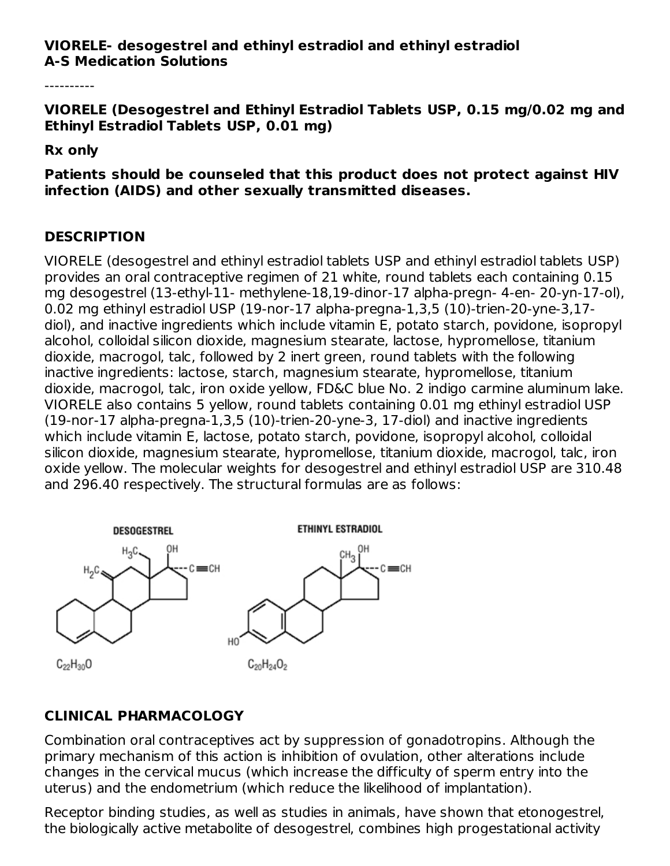#### **VIORELE- desogestrel and ethinyl estradiol and ethinyl estradiol A-S Medication Solutions**

----------

**VIORELE (Desogestrel and Ethinyl Estradiol Tablets USP, 0.15 mg/0.02 mg and Ethinyl Estradiol Tablets USP, 0.01 mg)**

**Rx only**

**Patients should be counseled that this product does not protect against HIV infection (AIDS) and other sexually transmitted diseases.**

### **DESCRIPTION**

VIORELE (desogestrel and ethinyl estradiol tablets USP and ethinyl estradiol tablets USP) provides an oral contraceptive regimen of 21 white, round tablets each containing 0.15 mg desogestrel (13-ethyl-11- methylene-18,19-dinor-17 alpha-pregn- 4-en- 20-yn-17-ol), 0.02 mg ethinyl estradiol USP (19-nor-17 alpha-pregna-1,3,5 (10)-trien-20-yne-3,17 diol), and inactive ingredients which include vitamin E, potato starch, povidone, isopropyl alcohol, colloidal silicon dioxide, magnesium stearate, lactose, hypromellose, titanium dioxide, macrogol, talc, followed by 2 inert green, round tablets with the following inactive ingredients: lactose, starch, magnesium stearate, hypromellose, titanium dioxide, macrogol, talc, iron oxide yellow, FD&C blue No. 2 indigo carmine aluminum lake. VIORELE also contains 5 yellow, round tablets containing 0.01 mg ethinyl estradiol USP (19-nor-17 alpha-pregna-1,3,5 (10)-trien-20-yne-3, 17-diol) and inactive ingredients which include vitamin E, lactose, potato starch, povidone, isopropyl alcohol, colloidal silicon dioxide, magnesium stearate, hypromellose, titanium dioxide, macrogol, talc, iron oxide yellow. The molecular weights for desogestrel and ethinyl estradiol USP are 310.48 and 296.40 respectively. The structural formulas are as follows:



## **CLINICAL PHARMACOLOGY**

Combination oral contraceptives act by suppression of gonadotropins. Although the primary mechanism of this action is inhibition of ovulation, other alterations include changes in the cervical mucus (which increase the difficulty of sperm entry into the uterus) and the endometrium (which reduce the likelihood of implantation).

Receptor binding studies, as well as studies in animals, have shown that etonogestrel, the biologically active metabolite of desogestrel, combines high progestational activity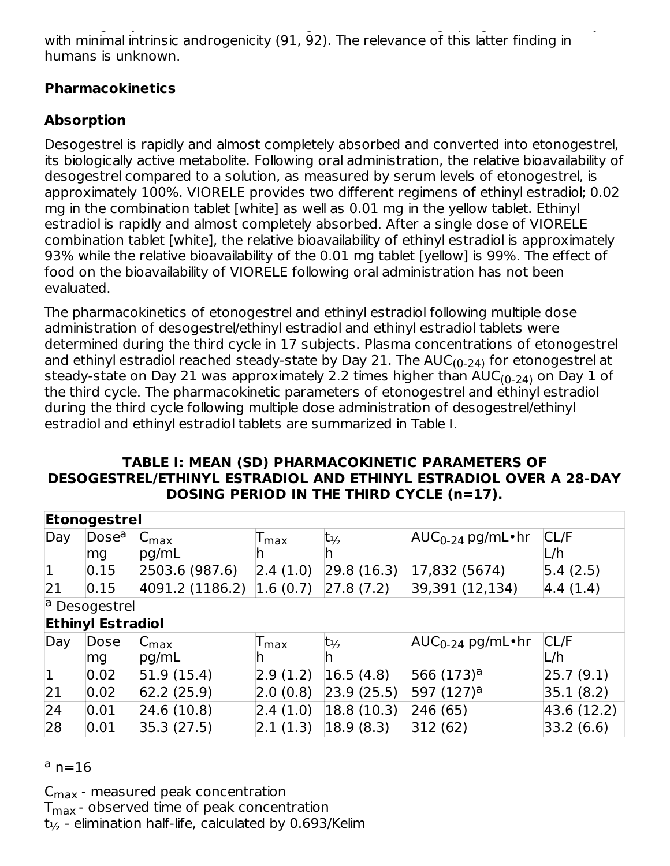the biologically active metabolite of desogestrel, combines high progestational activity with minimal intrinsic androgenicity (91, 92). The relevance of this latter finding in humans is unknown.

## **Pharmacokinetics**

## **Absorption**

Desogestrel is rapidly and almost completely absorbed and converted into etonogestrel, its biologically active metabolite. Following oral administration, the relative bioavailability of desogestrel compared to a solution, as measured by serum levels of etonogestrel, is approximately 100%. VIORELE provides two different regimens of ethinyl estradiol; 0.02 mg in the combination tablet [white] as well as 0.01 mg in the yellow tablet. Ethinyl estradiol is rapidly and almost completely absorbed. After a single dose of VIORELE combination tablet [white], the relative bioavailability of ethinyl estradiol is approximately 93% while the relative bioavailability of the 0.01 mg tablet [yellow] is 99%. The effect of food on the bioavailability of VIORELE following oral administration has not been evaluated.

The pharmacokinetics of etonogestrel and ethinyl estradiol following multiple dose administration of desogestrel/ethinyl estradiol and ethinyl estradiol tablets were determined during the third cycle in 17 subjects. Plasma concentrations of etonogestrel and ethinyl estradiol reached steady-state by Day 21. The  $\mathsf{AUC}_{(0\text{-}24)}$  for etonogestrel at steady-state on Day 21 was approximately 2.2 times higher than  $\mathsf{AUC}_{(0\text{-}24)}$  on Day 1 of the third cycle. The pharmacokinetic parameters of etonogestrel and ethinyl estradiol during the third cycle following multiple dose administration of desogestrel/ethinyl estradiol and ethinyl estradiol tablets are summarized in Table I.

#### **TABLE I: MEAN (SD) PHARMACOKINETIC PARAMETERS OF DESOGESTREL/ETHINYL ESTRADIOL AND ETHINYL ESTRADIOL OVER A 28-DAY DOSING PERIOD IN THE THIRD CYCLE (n=17).**

|                          | Etonogestrel             |                    |          |                   |                        |             |  |
|--------------------------|--------------------------|--------------------|----------|-------------------|------------------------|-------------|--|
| Day                      | Dose <sup>a</sup>        | $ C_{\text{max}} $ | Imax     | $t_{\frac{1}{2}}$ | $AUC_{0-24}$ pg/mL•hr  | CL/F        |  |
|                          | mg                       | pg/mL              | In       | h                 |                        | L/h         |  |
| $\mathbf{1}$             | 0.15                     | 2503.6 (987.6)     | 2.4(1.0) | 29.8(16.3)        | 17,832 (5674)          | 5.4(2.5)    |  |
| 21                       | 0.15                     | 4091.2 (1186.2)    | 1.6(0.7) | 27.8(7.2)         | 39,391 (12,134)        | 4.4(1.4)    |  |
| <sup>a</sup> Desogestrel |                          |                    |          |                   |                        |             |  |
|                          | <b>Ethinyl Estradiol</b> |                    |          |                   |                        |             |  |
| Day                      | Dose                     | $ C_{\text{max}} $ | Imax     | $t_{\frac{1}{2}}$ | $AUC_{0-24}$ pg/mL•hr  | CL/F        |  |
|                          | mg                       | pg/mL              | n        | n                 |                        | L/h         |  |
| $\mathbf{1}$             | 0.02                     | 51.9(15.4)         | 2.9(1.2) | 16.5(4.8)         | 566 (173) <sup>a</sup> | 25.7(9.1)   |  |
| 21                       | 0.02                     | 62.2(25.9)         | 2.0(0.8) | 23.9(25.5)        | 597 (127) <sup>a</sup> | 35.1(8.2)   |  |
| 24                       | 0.01                     | 24.6 (10.8)        | 2.4(1.0) | $ 18.8 \ (10.3) $ | 246 (65)               | 43.6 (12.2) |  |
| 28                       | 0.01                     | 35.3 (27.5)        | 2.1(1.3) | 18.9(8.3)         | 312 (62)               | 33.2(6.6)   |  |

## $a_{n=16}$

 $\mathsf{C}_{\mathsf{max}}$  - measured peak concentration  ${\mathsf T}_{\mathsf{max}}$  - observed time of peak concentration  $\rm{t_{1/2}}$  - elimination half-life, calculated by 0.693/Kelim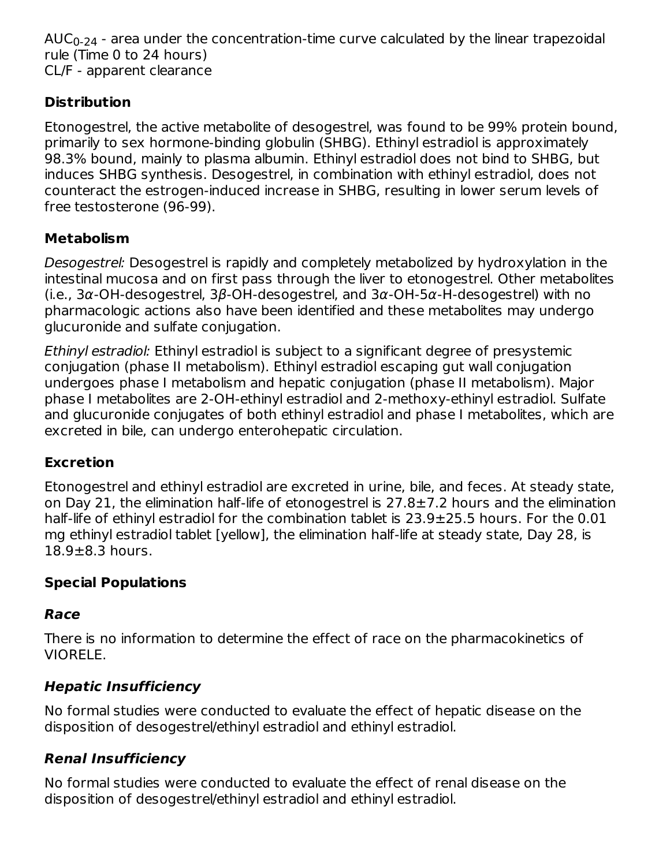AUC $_{\rm 0\text{-}24}$  - area under the concentration-time curve calculated by the linear trapezoidal rule (Time 0 to 24 hours) CL/F - apparent clearance 0-24

## **Distribution**

Etonogestrel, the active metabolite of desogestrel, was found to be 99% protein bound, primarily to sex hormone-binding globulin (SHBG). Ethinyl estradiol is approximately 98.3% bound, mainly to plasma albumin. Ethinyl estradiol does not bind to SHBG, but induces SHBG synthesis. Desogestrel, in combination with ethinyl estradiol, does not counteract the estrogen-induced increase in SHBG, resulting in lower serum levels of free testosterone (96-99).

## **Metabolism**

Desogestrel: Desogestrel is rapidly and completely metabolized by hydroxylation in the intestinal mucosa and on first pass through the liver to etonogestrel. Other metabolites (i.e.,  $3\alpha$ -OH-desogestrel,  $3\beta$ -OH-desogestrel, and  $3\alpha$ -OH- $5\alpha$ -H-desogestrel) with no pharmacologic actions also have been identified and these metabolites may undergo glucuronide and sulfate conjugation.

Ethinyl estradiol: Ethinyl estradiol is subject to a significant degree of presystemic conjugation (phase II metabolism). Ethinyl estradiol escaping gut wall conjugation undergoes phase I metabolism and hepatic conjugation (phase II metabolism). Major phase I metabolites are 2-OH-ethinyl estradiol and 2-methoxy-ethinyl estradiol. Sulfate and glucuronide conjugates of both ethinyl estradiol and phase I metabolites, which are excreted in bile, can undergo enterohepatic circulation.

## **Excretion**

Etonogestrel and ethinyl estradiol are excreted in urine, bile, and feces. At steady state, on Day 21, the elimination half-life of etonogestrel is  $27.8\pm7.2$  hours and the elimination half-life of ethinyl estradiol for the combination tablet is 23.9±25.5 hours. For the 0.01 mg ethinyl estradiol tablet [yellow], the elimination half-life at steady state, Day 28, is 18.9±8.3 hours.

## **Special Populations**

## **Race**

There is no information to determine the effect of race on the pharmacokinetics of VIORELE.

## **Hepatic Insufficiency**

No formal studies were conducted to evaluate the effect of hepatic disease on the disposition of desogestrel/ethinyl estradiol and ethinyl estradiol.

## **Renal Insufficiency**

No formal studies were conducted to evaluate the effect of renal disease on the disposition of desogestrel/ethinyl estradiol and ethinyl estradiol.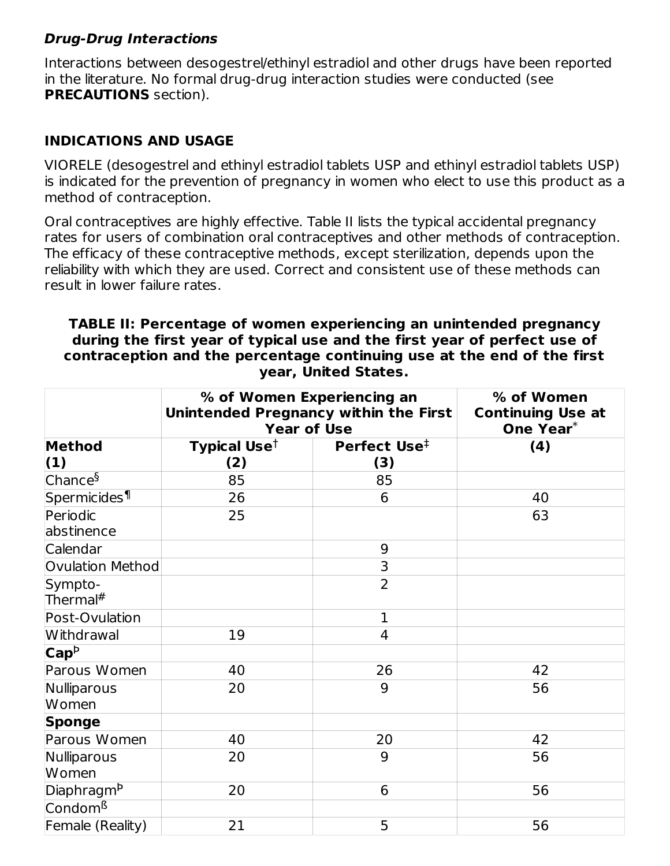## **Drug-Drug Interactions**

Interactions between desogestrel/ethinyl estradiol and other drugs have been reported in the literature. No formal drug-drug interaction studies were conducted (see **PRECAUTIONS** section).

### **INDICATIONS AND USAGE**

VIORELE (desogestrel and ethinyl estradiol tablets USP and ethinyl estradiol tablets USP) is indicated for the prevention of pregnancy in women who elect to use this product as a method of contraception.

Oral contraceptives are highly effective. Table II lists the typical accidental pregnancy rates for users of combination oral contraceptives and other methods of contraception. The efficacy of these contraceptive methods, except sterilization, depends upon the reliability with which they are used. Correct and consistent use of these methods can result in lower failure rates.

#### **TABLE II: Percentage of women experiencing an unintended pregnancy during the first year of typical use and the first year of perfect use of contraception and the percentage continuing use at the end of the first year, United States.**

|                             | % of Women Experiencing an<br>Unintended Pregnancy within the First<br><b>Year of Use</b>    | % of Women<br><b>Continuing Use at</b><br>One Year <sup>*</sup> |     |
|-----------------------------|----------------------------------------------------------------------------------------------|-----------------------------------------------------------------|-----|
| <b>Method</b><br>(1)        | <b>Typical Use</b> <sup><math>\dagger</math></sup><br>Perfect Use <sup>‡</sup><br>(2)<br>(3) |                                                                 | (4) |
| Chance <sup>§</sup>         | 85                                                                                           | 85                                                              |     |
| Spermicides <sup>¶</sup>    | 26                                                                                           | 6                                                               | 40  |
| Periodic<br>abstinence      | 25                                                                                           |                                                                 | 63  |
| Calendar                    |                                                                                              | 9                                                               |     |
| Ovulation Method            |                                                                                              | 3                                                               |     |
| Sympto-<br>Thermal#         |                                                                                              | $\overline{2}$                                                  |     |
| Post-Ovulation              |                                                                                              | $\mathbf{1}$                                                    |     |
| Withdrawal                  | 19                                                                                           | 4                                                               |     |
| $\mathsf{Cap}^{\mathsf{p}}$ |                                                                                              |                                                                 |     |
| Parous Women                | 40                                                                                           | 26                                                              | 42  |
| Nulliparous<br>Women        | 20                                                                                           | 9                                                               | 56  |
| <b>Sponge</b>               |                                                                                              |                                                                 |     |
| Parous Women                | 40                                                                                           | 20                                                              | 42  |
| Nulliparous<br>Women        | 20                                                                                           | 9                                                               | 56  |
| Diaphragm <sup>b</sup>      | 20                                                                                           | 6                                                               | 56  |
| Condom <sup>ß</sup>         |                                                                                              |                                                                 |     |
| Female (Reality)            | 21                                                                                           | 5                                                               | 56  |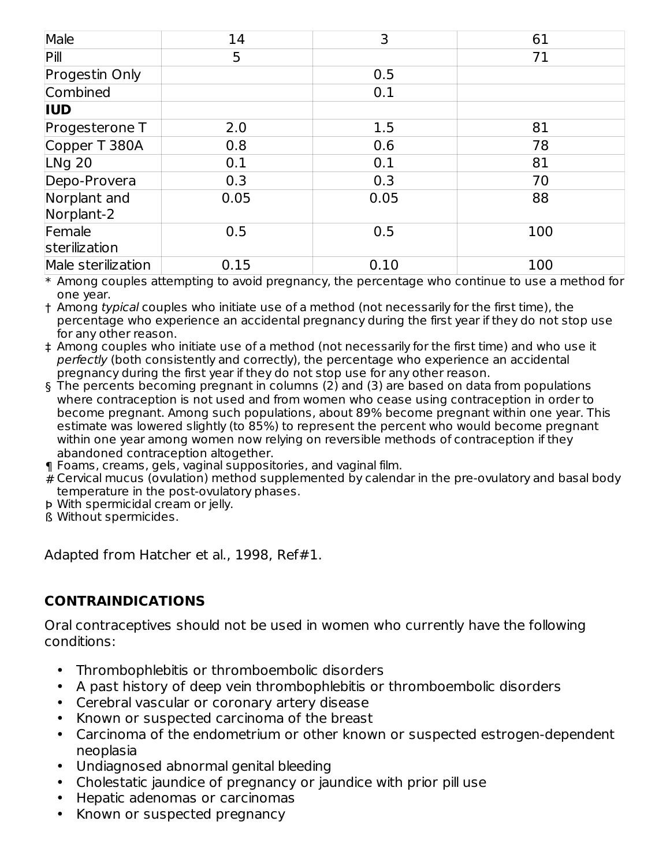| Male                       | 14   | 3    | 61  |
|----------------------------|------|------|-----|
| Pill                       | 5    |      | 71  |
| Progestin Only             |      | 0.5  |     |
| Combined                   |      | 0.1  |     |
| <b>IUD</b>                 |      |      |     |
| Progesterone T             | 2.0  | 1.5  | 81  |
| Copper T 380A              | 0.8  | 0.6  | 78  |
| <b>LNg 20</b>              | 0.1  | 0.1  | 81  |
| Depo-Provera               | 0.3  | 0.3  | 70  |
| Norplant and<br>Norplant-2 | 0.05 | 0.05 | 88  |
| Female<br>sterilization    | 0.5  | 0.5  | 100 |
| Male sterilization         | 0.15 | 0.10 | 100 |

\* Among couples attempting to avoid pregnancy, the percentage who continue to use a method for one year.

† Among typical couples who initiate use of a method (not necessarily for the first time), the percentage who experience an accidental pregnancy during the first year if they do not stop use for any other reason.

‡ Among couples who initiate use of a method (not necessarily for the first time) and who use it perfectly (both consistently and correctly), the percentage who experience an accidental pregnancy during the first year if they do not stop use for any other reason.

- § The percents becoming pregnant in columns (2) and (3) are based on data from populations where contraception is not used and from women who cease using contraception in order to become pregnant. Among such populations, about 89% become pregnant within one year. This estimate was lowered slightly (to 85%) to represent the percent who would become pregnant within one year among women now relying on reversible methods of contraception if they abandoned contraception altogether.
- ¶ Foams, creams, gels, vaginal suppositories, and vaginal film.
- # Cervical mucus (ovulation) method supplemented by calendar in the pre-ovulatory and basal body temperature in the post-ovulatory phases.
- Þ With spermicidal cream or jelly.

ß Without spermicides.

Adapted from Hatcher et al., 1998, Ref#1.

## **CONTRAINDICATIONS**

Oral contraceptives should not be used in women who currently have the following conditions:

- Thrombophlebitis or thromboembolic disorders
- A past history of deep vein thrombophlebitis or thromboembolic disorders
- Cerebral vascular or coronary artery disease
- Known or suspected carcinoma of the breast
- Carcinoma of the endometrium or other known or suspected estrogen-dependent neoplasia
- Undiagnosed abnormal genital bleeding
- Cholestatic jaundice of pregnancy or jaundice with prior pill use
- Hepatic adenomas or carcinomas
- Known or suspected pregnancy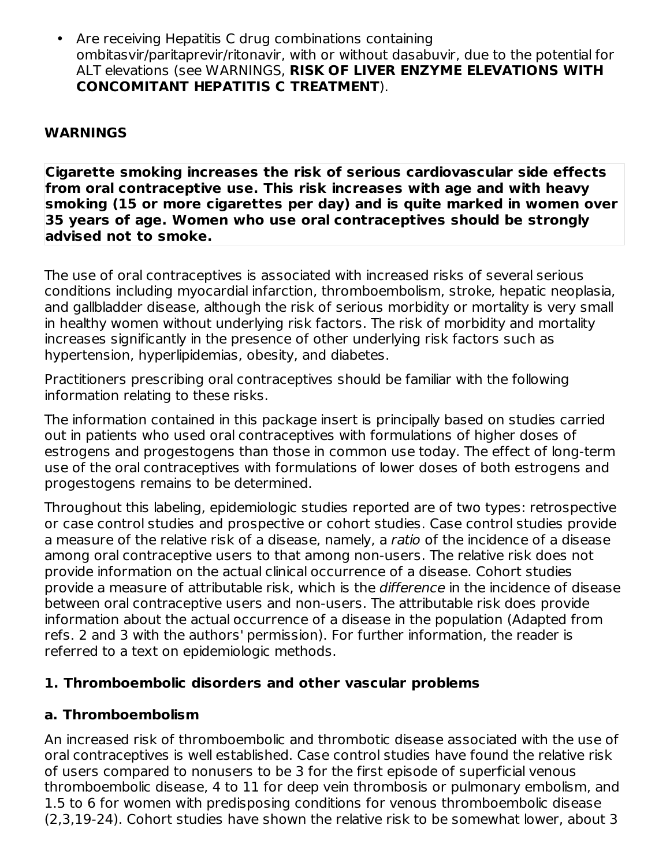• Are receiving Hepatitis C drug combinations containing ombitasvir/paritaprevir/ritonavir, with or without dasabuvir, due to the potential for ALT elevations (see WARNINGS, **RISK OF LIVER ENZYME ELEVATIONS WITH CONCOMITANT HEPATITIS C TREATMENT**).

### **WARNINGS**

**Cigarette smoking increases the risk of serious cardiovascular side effects from oral contraceptive use. This risk increases with age and with heavy smoking (15 or more cigarettes per day) and is quite marked in women over 35 years of age. Women who use oral contraceptives should be strongly advised not to smoke.**

The use of oral contraceptives is associated with increased risks of several serious conditions including myocardial infarction, thromboembolism, stroke, hepatic neoplasia, and gallbladder disease, although the risk of serious morbidity or mortality is very small in healthy women without underlying risk factors. The risk of morbidity and mortality increases significantly in the presence of other underlying risk factors such as hypertension, hyperlipidemias, obesity, and diabetes.

Practitioners prescribing oral contraceptives should be familiar with the following information relating to these risks.

The information contained in this package insert is principally based on studies carried out in patients who used oral contraceptives with formulations of higher doses of estrogens and progestogens than those in common use today. The effect of long-term use of the oral contraceptives with formulations of lower doses of both estrogens and progestogens remains to be determined.

Throughout this labeling, epidemiologic studies reported are of two types: retrospective or case control studies and prospective or cohort studies. Case control studies provide a measure of the relative risk of a disease, namely, a ratio of the incidence of a disease among oral contraceptive users to that among non-users. The relative risk does not provide information on the actual clinical occurrence of a disease. Cohort studies provide a measure of attributable risk, which is the difference in the incidence of disease between oral contraceptive users and non-users. The attributable risk does provide information about the actual occurrence of a disease in the population (Adapted from refs. 2 and 3 with the authors' permission). For further information, the reader is referred to a text on epidemiologic methods.

#### **1. Thromboembolic disorders and other vascular problems**

#### **a. Thromboembolism**

An increased risk of thromboembolic and thrombotic disease associated with the use of oral contraceptives is well established. Case control studies have found the relative risk of users compared to nonusers to be 3 for the first episode of superficial venous thromboembolic disease, 4 to 11 for deep vein thrombosis or pulmonary embolism, and 1.5 to 6 for women with predisposing conditions for venous thromboembolic disease (2,3,19-24). Cohort studies have shown the relative risk to be somewhat lower, about 3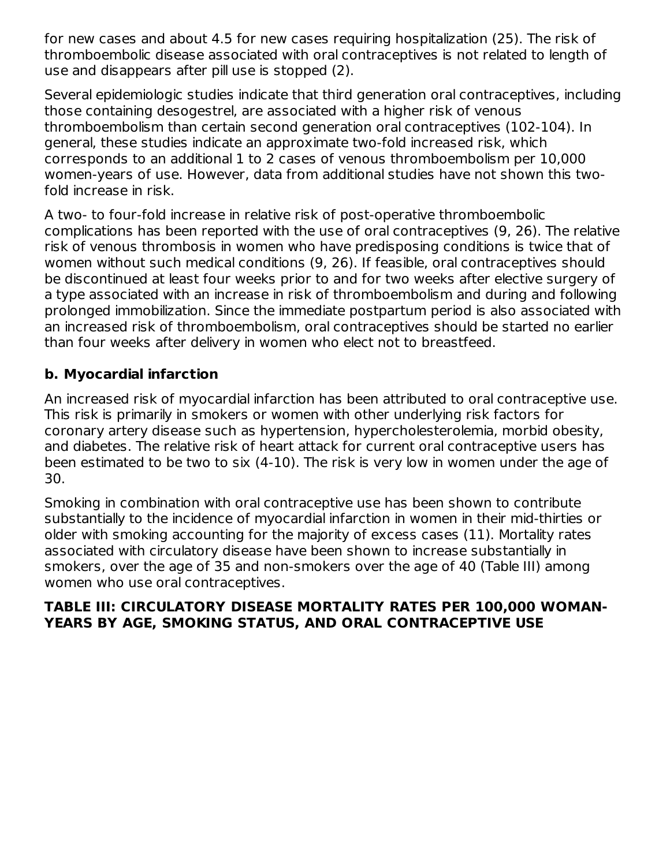for new cases and about 4.5 for new cases requiring hospitalization (25). The risk of thromboembolic disease associated with oral contraceptives is not related to length of use and disappears after pill use is stopped (2).

Several epidemiologic studies indicate that third generation oral contraceptives, including those containing desogestrel, are associated with a higher risk of venous thromboembolism than certain second generation oral contraceptives (102-104). In general, these studies indicate an approximate two-fold increased risk, which corresponds to an additional 1 to 2 cases of venous thromboembolism per 10,000 women-years of use. However, data from additional studies have not shown this twofold increase in risk.

A two- to four-fold increase in relative risk of post-operative thromboembolic complications has been reported with the use of oral contraceptives (9, 26). The relative risk of venous thrombosis in women who have predisposing conditions is twice that of women without such medical conditions (9, 26). If feasible, oral contraceptives should be discontinued at least four weeks prior to and for two weeks after elective surgery of a type associated with an increase in risk of thromboembolism and during and following prolonged immobilization. Since the immediate postpartum period is also associated with an increased risk of thromboembolism, oral contraceptives should be started no earlier than four weeks after delivery in women who elect not to breastfeed.

## **b. Myocardial infarction**

An increased risk of myocardial infarction has been attributed to oral contraceptive use. This risk is primarily in smokers or women with other underlying risk factors for coronary artery disease such as hypertension, hypercholesterolemia, morbid obesity, and diabetes. The relative risk of heart attack for current oral contraceptive users has been estimated to be two to six (4-10). The risk is very low in women under the age of 30.

Smoking in combination with oral contraceptive use has been shown to contribute substantially to the incidence of myocardial infarction in women in their mid-thirties or older with smoking accounting for the majority of excess cases (11). Mortality rates associated with circulatory disease have been shown to increase substantially in smokers, over the age of 35 and non-smokers over the age of 40 (Table III) among women who use oral contraceptives.

#### **TABLE III: CIRCULATORY DISEASE MORTALITY RATES PER 100,000 WOMAN-YEARS BY AGE, SMOKING STATUS, AND ORAL CONTRACEPTIVE USE**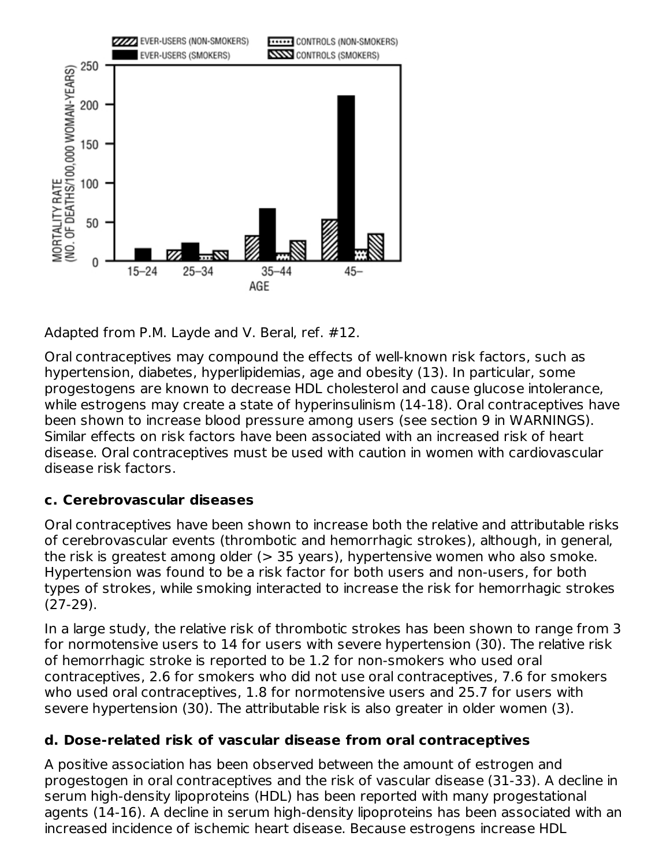

Adapted from P.M. Layde and V. Beral, ref. #12.

Oral contraceptives may compound the effects of well-known risk factors, such as hypertension, diabetes, hyperlipidemias, age and obesity (13). In particular, some progestogens are known to decrease HDL cholesterol and cause glucose intolerance, while estrogens may create a state of hyperinsulinism (14-18). Oral contraceptives have been shown to increase blood pressure among users (see section 9 in WARNINGS). Similar effects on risk factors have been associated with an increased risk of heart disease. Oral contraceptives must be used with caution in women with cardiovascular disease risk factors.

## **c. Cerebrovascular diseases**

Oral contraceptives have been shown to increase both the relative and attributable risks of cerebrovascular events (thrombotic and hemorrhagic strokes), although, in general, the risk is greatest among older (> 35 years), hypertensive women who also smoke. Hypertension was found to be a risk factor for both users and non-users, for both types of strokes, while smoking interacted to increase the risk for hemorrhagic strokes (27-29).

In a large study, the relative risk of thrombotic strokes has been shown to range from 3 for normotensive users to 14 for users with severe hypertension (30). The relative risk of hemorrhagic stroke is reported to be 1.2 for non-smokers who used oral contraceptives, 2.6 for smokers who did not use oral contraceptives, 7.6 for smokers who used oral contraceptives, 1.8 for normotensive users and 25.7 for users with severe hypertension (30). The attributable risk is also greater in older women (3).

## **d. Dose-related risk of vascular disease from oral contraceptives**

A positive association has been observed between the amount of estrogen and progestogen in oral contraceptives and the risk of vascular disease (31-33). A decline in serum high-density lipoproteins (HDL) has been reported with many progestational agents (14-16). A decline in serum high-density lipoproteins has been associated with an increased incidence of ischemic heart disease. Because estrogens increase HDL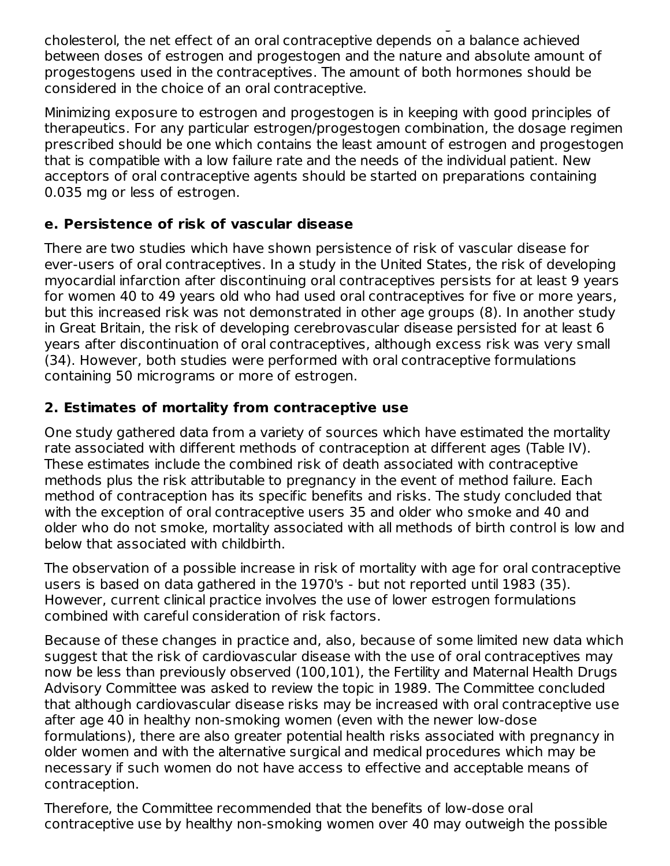increased incidence of ischemic heart disease. Because estrogens increase HDL cholesterol, the net effect of an oral contraceptive depends on a balance achieved between doses of estrogen and progestogen and the nature and absolute amount of progestogens used in the contraceptives. The amount of both hormones should be considered in the choice of an oral contraceptive.

Minimizing exposure to estrogen and progestogen is in keeping with good principles of therapeutics. For any particular estrogen/progestogen combination, the dosage regimen prescribed should be one which contains the least amount of estrogen and progestogen that is compatible with a low failure rate and the needs of the individual patient. New acceptors of oral contraceptive agents should be started on preparations containing 0.035 mg or less of estrogen.

## **e. Persistence of risk of vascular disease**

There are two studies which have shown persistence of risk of vascular disease for ever-users of oral contraceptives. In a study in the United States, the risk of developing myocardial infarction after discontinuing oral contraceptives persists for at least 9 years for women 40 to 49 years old who had used oral contraceptives for five or more years, but this increased risk was not demonstrated in other age groups (8). In another study in Great Britain, the risk of developing cerebrovascular disease persisted for at least 6 years after discontinuation of oral contraceptives, although excess risk was very small (34). However, both studies were performed with oral contraceptive formulations containing 50 micrograms or more of estrogen.

## **2. Estimates of mortality from contraceptive use**

One study gathered data from a variety of sources which have estimated the mortality rate associated with different methods of contraception at different ages (Table IV). These estimates include the combined risk of death associated with contraceptive methods plus the risk attributable to pregnancy in the event of method failure. Each method of contraception has its specific benefits and risks. The study concluded that with the exception of oral contraceptive users 35 and older who smoke and 40 and older who do not smoke, mortality associated with all methods of birth control is low and below that associated with childbirth.

The observation of a possible increase in risk of mortality with age for oral contraceptive users is based on data gathered in the 1970's - but not reported until 1983 (35). However, current clinical practice involves the use of lower estrogen formulations combined with careful consideration of risk factors.

Because of these changes in practice and, also, because of some limited new data which suggest that the risk of cardiovascular disease with the use of oral contraceptives may now be less than previously observed (100,101), the Fertility and Maternal Health Drugs Advisory Committee was asked to review the topic in 1989. The Committee concluded that although cardiovascular disease risks may be increased with oral contraceptive use after age 40 in healthy non-smoking women (even with the newer low-dose formulations), there are also greater potential health risks associated with pregnancy in older women and with the alternative surgical and medical procedures which may be necessary if such women do not have access to effective and acceptable means of contraception.

Therefore, the Committee recommended that the benefits of low-dose oral contraceptive use by healthy non-smoking women over 40 may outweigh the possible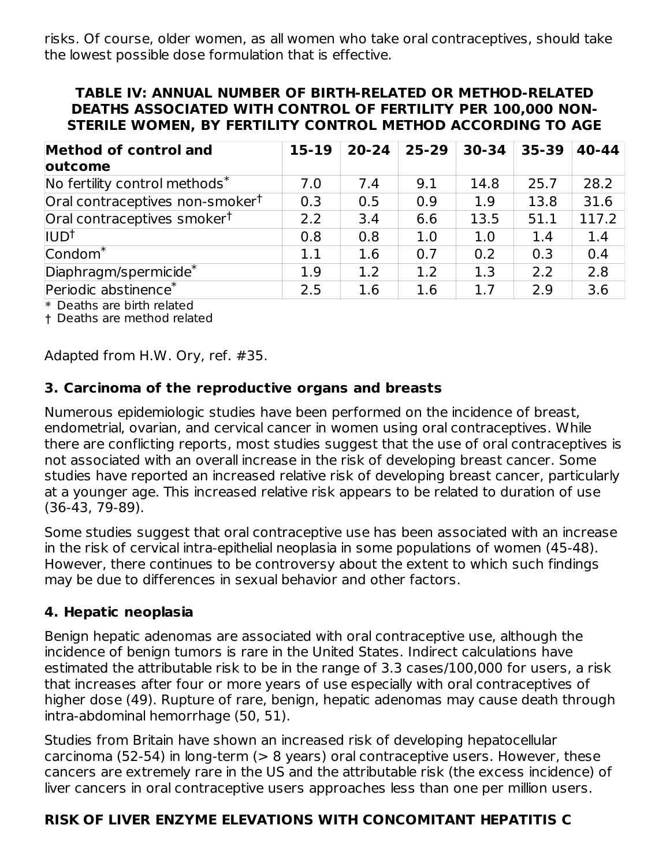risks. Of course, older women, as all women who take oral contraceptives, should take the lowest possible dose formulation that is effective.

#### **TABLE IV: ANNUAL NUMBER OF BIRTH-RELATED OR METHOD-RELATED DEATHS ASSOCIATED WITH CONTROL OF FERTILITY PER 100,000 NON-STERILE WOMEN, BY FERTILITY CONTROL METHOD ACCORDING TO AGE**

| Method of control and                       | $15 - 19$ | $20 - 24$ | $25 - 29$ | $30 - 34$ | $35 - 39$ | $40 - 44$ |
|---------------------------------------------|-----------|-----------|-----------|-----------|-----------|-----------|
| outcome                                     |           |           |           |           |           |           |
| No fertility control methods <sup>*</sup>   | 7.0       | 7.4       | 9.1       | 14.8      | 25.7      | 28.2      |
| Oral contraceptives non-smoker <sup>†</sup> | 0.3       | 0.5       | 0.9       | 1.9       | 13.8      | 31.6      |
| Oral contraceptives smoker <sup>†</sup>     | 2.2       | 3.4       | 6.6       | 13.5      | 51.1      | 117.2     |
| $IUD^{\dagger}$                             | 0.8       | 0.8       | 1.0       | 1.0       | 1.4       | 1.4       |
| Condom <sup>*</sup>                         | 1.1       | 1.6       | 0.7       | 0.2       | 0.3       | 0.4       |
| Diaphragm/spermicide*                       | 1.9       | 1.2       | 1.2       | 1.3       | 2.2       | 2.8       |
| Periodic abstinence <sup>*</sup>            | 2.5       | 1.6       | 1.6       | 1.7       | 2.9       | 3.6       |

\* Deaths are birth related

† Deaths are method related

Adapted from H.W. Ory, ref. #35.

#### **3. Carcinoma of the reproductive organs and breasts**

Numerous epidemiologic studies have been performed on the incidence of breast, endometrial, ovarian, and cervical cancer in women using oral contraceptives. While there are conflicting reports, most studies suggest that the use of oral contraceptives is not associated with an overall increase in the risk of developing breast cancer. Some studies have reported an increased relative risk of developing breast cancer, particularly at a younger age. This increased relative risk appears to be related to duration of use (36-43, 79-89).

Some studies suggest that oral contraceptive use has been associated with an increase in the risk of cervical intra-epithelial neoplasia in some populations of women (45-48). However, there continues to be controversy about the extent to which such findings may be due to differences in sexual behavior and other factors.

#### **4. Hepatic neoplasia**

Benign hepatic adenomas are associated with oral contraceptive use, although the incidence of benign tumors is rare in the United States. Indirect calculations have estimated the attributable risk to be in the range of 3.3 cases/100,000 for users, a risk that increases after four or more years of use especially with oral contraceptives of higher dose (49). Rupture of rare, benign, hepatic adenomas may cause death through intra-abdominal hemorrhage (50, 51).

Studies from Britain have shown an increased risk of developing hepatocellular carcinoma (52-54) in long-term (> 8 years) oral contraceptive users. However, these cancers are extremely rare in the US and the attributable risk (the excess incidence) of liver cancers in oral contraceptive users approaches less than one per million users.

#### **RISK OF LIVER ENZYME ELEVATIONS WITH CONCOMITANT HEPATITIS C**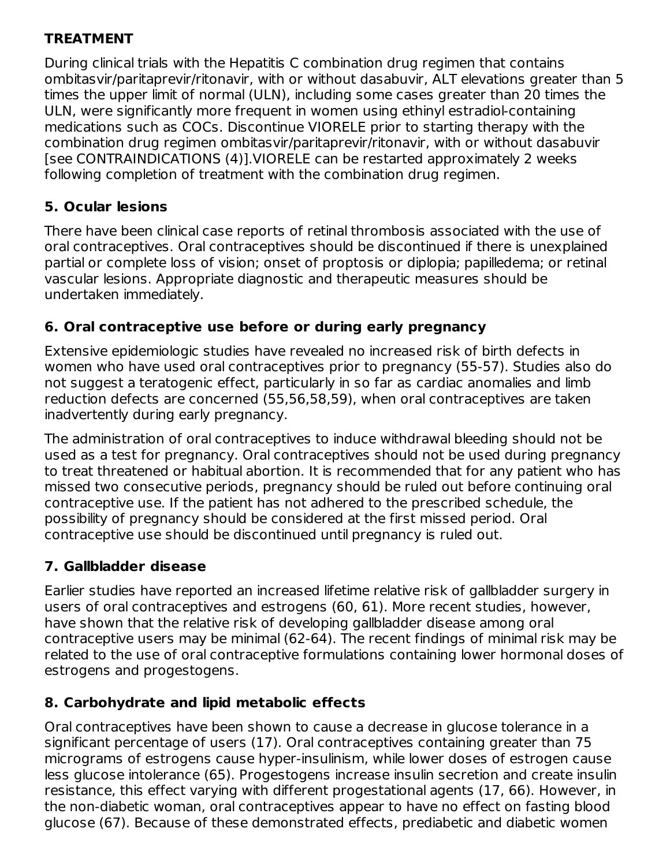### **TREATMENT**

During clinical trials with the Hepatitis C combination drug regimen that contains ombitasvir/paritaprevir/ritonavir, with or without dasabuvir, ALT elevations greater than 5 times the upper limit of normal (ULN), including some cases greater than 20 times the ULN, were significantly more frequent in women using ethinyl estradiol-containing medications such as COCs. Discontinue VIORELE prior to starting therapy with the combination drug regimen ombitasvir/paritaprevir/ritonavir, with or without dasabuvir [see CONTRAINDICATIONS (4)].VIORELE can be restarted approximately 2 weeks following completion of treatment with the combination drug regimen.

## **5. Ocular lesions**

There have been clinical case reports of retinal thrombosis associated with the use of oral contraceptives. Oral contraceptives should be discontinued if there is unexplained partial or complete loss of vision; onset of proptosis or diplopia; papilledema; or retinal vascular lesions. Appropriate diagnostic and therapeutic measures should be undertaken immediately.

## **6. Oral contraceptive use before or during early pregnancy**

Extensive epidemiologic studies have revealed no increased risk of birth defects in women who have used oral contraceptives prior to pregnancy (55-57). Studies also do not suggest a teratogenic effect, particularly in so far as cardiac anomalies and limb reduction defects are concerned (55,56,58,59), when oral contraceptives are taken inadvertently during early pregnancy.

The administration of oral contraceptives to induce withdrawal bleeding should not be used as a test for pregnancy. Oral contraceptives should not be used during pregnancy to treat threatened or habitual abortion. It is recommended that for any patient who has missed two consecutive periods, pregnancy should be ruled out before continuing oral contraceptive use. If the patient has not adhered to the prescribed schedule, the possibility of pregnancy should be considered at the first missed period. Oral contraceptive use should be discontinued until pregnancy is ruled out.

## **7. Gallbladder disease**

Earlier studies have reported an increased lifetime relative risk of gallbladder surgery in users of oral contraceptives and estrogens (60, 61). More recent studies, however, have shown that the relative risk of developing gallbladder disease among oral contraceptive users may be minimal (62-64). The recent findings of minimal risk may be related to the use of oral contraceptive formulations containing lower hormonal doses of estrogens and progestogens.

## **8. Carbohydrate and lipid metabolic effects**

Oral contraceptives have been shown to cause a decrease in glucose tolerance in a significant percentage of users (17). Oral contraceptives containing greater than 75 micrograms of estrogens cause hyper-insulinism, while lower doses of estrogen cause less glucose intolerance (65). Progestogens increase insulin secretion and create insulin resistance, this effect varying with different progestational agents (17, 66). However, in the non-diabetic woman, oral contraceptives appear to have no effect on fasting blood glucose (67). Because of these demonstrated effects, prediabetic and diabetic women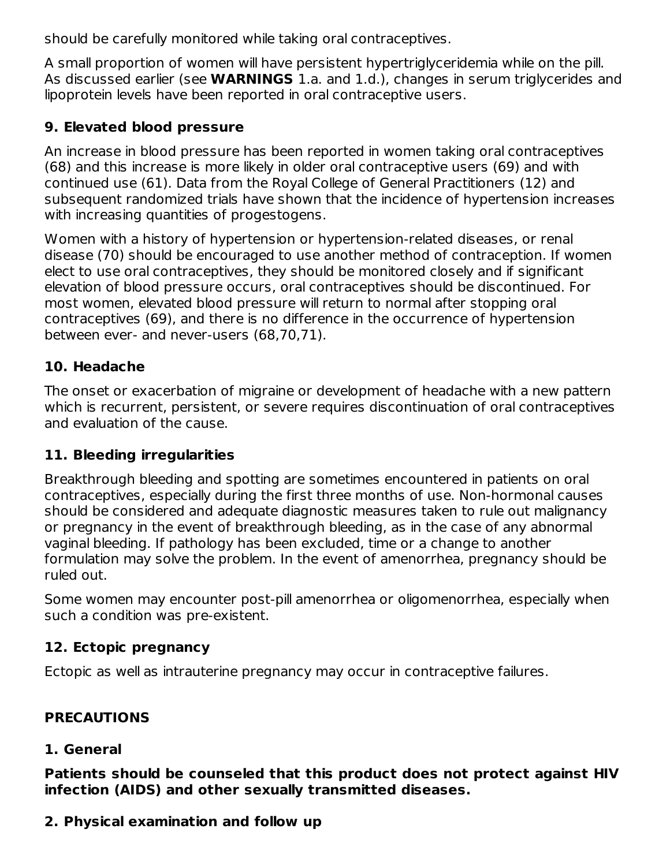should be carefully monitored while taking oral contraceptives.

A small proportion of women will have persistent hypertriglyceridemia while on the pill. As discussed earlier (see **WARNINGS** 1.a. and 1.d.), changes in serum triglycerides and lipoprotein levels have been reported in oral contraceptive users.

## **9. Elevated blood pressure**

An increase in blood pressure has been reported in women taking oral contraceptives (68) and this increase is more likely in older oral contraceptive users (69) and with continued use (61). Data from the Royal College of General Practitioners (12) and subsequent randomized trials have shown that the incidence of hypertension increases with increasing quantities of progestogens.

Women with a history of hypertension or hypertension-related diseases, or renal disease (70) should be encouraged to use another method of contraception. If women elect to use oral contraceptives, they should be monitored closely and if significant elevation of blood pressure occurs, oral contraceptives should be discontinued. For most women, elevated blood pressure will return to normal after stopping oral contraceptives (69), and there is no difference in the occurrence of hypertension between ever- and never-users (68,70,71).

## **10. Headache**

The onset or exacerbation of migraine or development of headache with a new pattern which is recurrent, persistent, or severe requires discontinuation of oral contraceptives and evaluation of the cause.

## **11. Bleeding irregularities**

Breakthrough bleeding and spotting are sometimes encountered in patients on oral contraceptives, especially during the first three months of use. Non-hormonal causes should be considered and adequate diagnostic measures taken to rule out malignancy or pregnancy in the event of breakthrough bleeding, as in the case of any abnormal vaginal bleeding. If pathology has been excluded, time or a change to another formulation may solve the problem. In the event of amenorrhea, pregnancy should be ruled out.

Some women may encounter post-pill amenorrhea or oligomenorrhea, especially when such a condition was pre-existent.

## **12. Ectopic pregnancy**

Ectopic as well as intrauterine pregnancy may occur in contraceptive failures.

## **PRECAUTIONS**

## **1. General**

**Patients should be counseled that this product does not protect against HIV infection (AIDS) and other sexually transmitted diseases.**

## **2. Physical examination and follow up**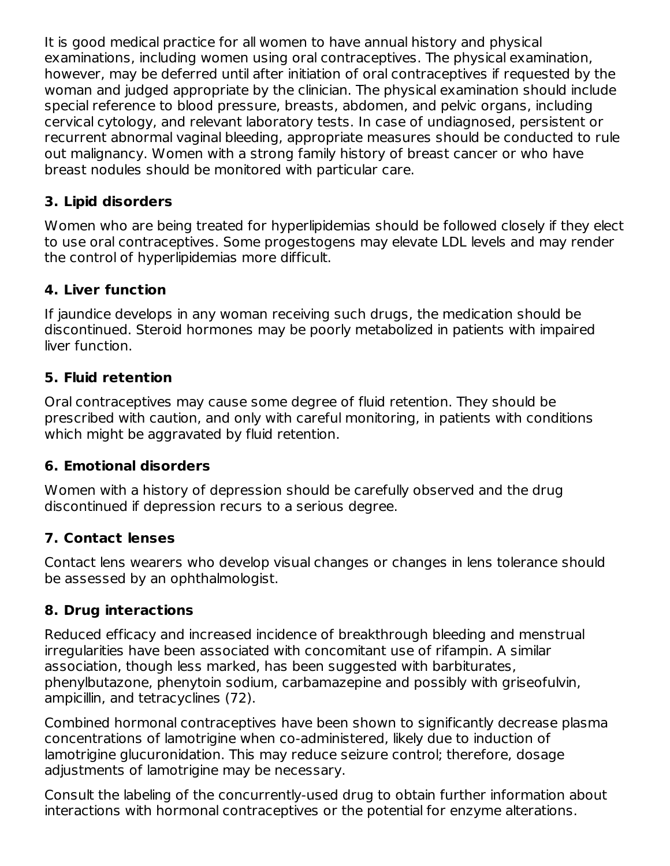It is good medical practice for all women to have annual history and physical examinations, including women using oral contraceptives. The physical examination, however, may be deferred until after initiation of oral contraceptives if requested by the woman and judged appropriate by the clinician. The physical examination should include special reference to blood pressure, breasts, abdomen, and pelvic organs, including cervical cytology, and relevant laboratory tests. In case of undiagnosed, persistent or recurrent abnormal vaginal bleeding, appropriate measures should be conducted to rule out malignancy. Women with a strong family history of breast cancer or who have breast nodules should be monitored with particular care.

## **3. Lipid disorders**

Women who are being treated for hyperlipidemias should be followed closely if they elect to use oral contraceptives. Some progestogens may elevate LDL levels and may render the control of hyperlipidemias more difficult.

## **4. Liver function**

If jaundice develops in any woman receiving such drugs, the medication should be discontinued. Steroid hormones may be poorly metabolized in patients with impaired liver function.

## **5. Fluid retention**

Oral contraceptives may cause some degree of fluid retention. They should be prescribed with caution, and only with careful monitoring, in patients with conditions which might be aggravated by fluid retention.

#### **6. Emotional disorders**

Women with a history of depression should be carefully observed and the drug discontinued if depression recurs to a serious degree.

## **7. Contact lenses**

Contact lens wearers who develop visual changes or changes in lens tolerance should be assessed by an ophthalmologist.

## **8. Drug interactions**

Reduced efficacy and increased incidence of breakthrough bleeding and menstrual irregularities have been associated with concomitant use of rifampin. A similar association, though less marked, has been suggested with barbiturates, phenylbutazone, phenytoin sodium, carbamazepine and possibly with griseofulvin, ampicillin, and tetracyclines (72).

Combined hormonal contraceptives have been shown to significantly decrease plasma concentrations of lamotrigine when co-administered, likely due to induction of lamotrigine glucuronidation. This may reduce seizure control; therefore, dosage adjustments of lamotrigine may be necessary.

Consult the labeling of the concurrently-used drug to obtain further information about interactions with hormonal contraceptives or the potential for enzyme alterations.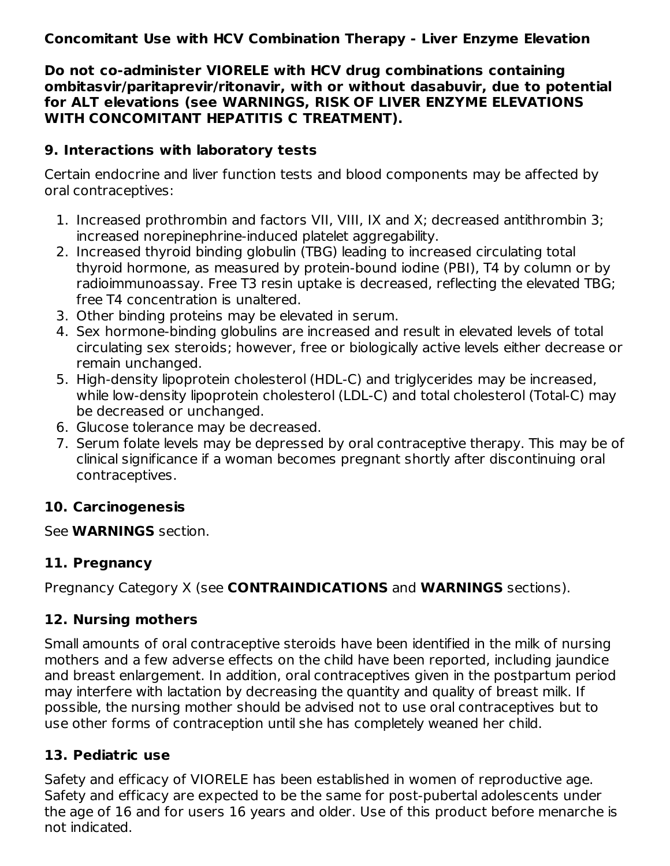**Concomitant Use with HCV Combination Therapy - Liver Enzyme Elevation**

**Do not co-administer VIORELE with HCV drug combinations containing ombitasvir/paritaprevir/ritonavir, with or without dasabuvir, due to potential for ALT elevations (see WARNINGS, RISK OF LIVER ENZYME ELEVATIONS WITH CONCOMITANT HEPATITIS C TREATMENT).**

### **9. Interactions with laboratory tests**

Certain endocrine and liver function tests and blood components may be affected by oral contraceptives:

- 1. Increased prothrombin and factors VII, VIII, IX and X; decreased antithrombin 3; increased norepinephrine-induced platelet aggregability.
- 2. Increased thyroid binding globulin (TBG) leading to increased circulating total thyroid hormone, as measured by protein-bound iodine (PBI), T4 by column or by radioimmunoassay. Free T3 resin uptake is decreased, reflecting the elevated TBG; free T4 concentration is unaltered.
- 3. Other binding proteins may be elevated in serum.
- 4. Sex hormone-binding globulins are increased and result in elevated levels of total circulating sex steroids; however, free or biologically active levels either decrease or remain unchanged.
- 5. High-density lipoprotein cholesterol (HDL-C) and triglycerides may be increased, while low-density lipoprotein cholesterol (LDL-C) and total cholesterol (Total-C) may be decreased or unchanged.
- 6. Glucose tolerance may be decreased.
- 7. Serum folate levels may be depressed by oral contraceptive therapy. This may be of clinical significance if a woman becomes pregnant shortly after discontinuing oral contraceptives.

## **10. Carcinogenesis**

See **WARNINGS** section.

## **11. Pregnancy**

Pregnancy Category X (see **CONTRAINDICATIONS** and **WARNINGS** sections).

## **12. Nursing mothers**

Small amounts of oral contraceptive steroids have been identified in the milk of nursing mothers and a few adverse effects on the child have been reported, including jaundice and breast enlargement. In addition, oral contraceptives given in the postpartum period may interfere with lactation by decreasing the quantity and quality of breast milk. If possible, the nursing mother should be advised not to use oral contraceptives but to use other forms of contraception until she has completely weaned her child.

## **13. Pediatric use**

Safety and efficacy of VIORELE has been established in women of reproductive age. Safety and efficacy are expected to be the same for post-pubertal adolescents under the age of 16 and for users 16 years and older. Use of this product before menarche is not indicated.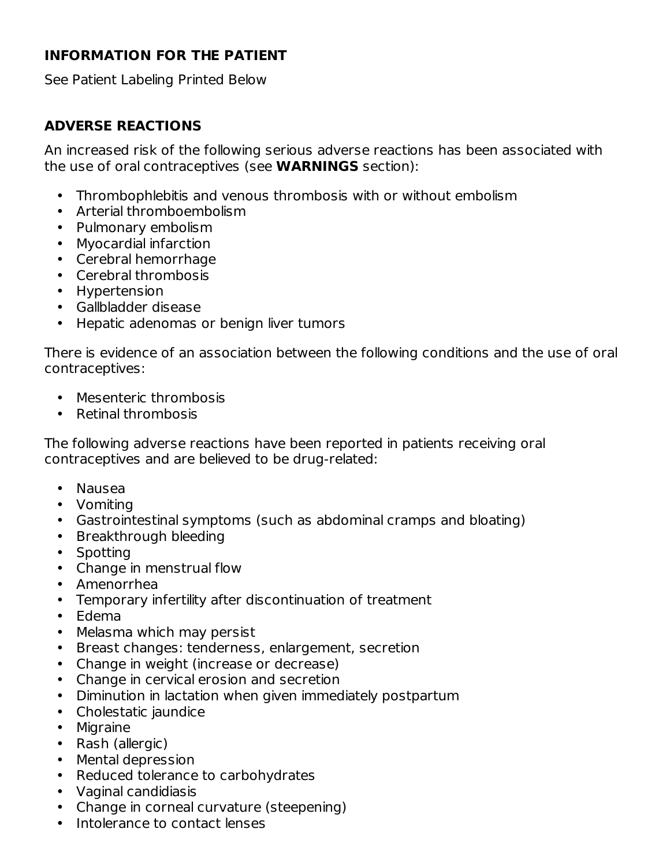#### **INFORMATION FOR THE PATIENT**

See Patient Labeling Printed Below

### **ADVERSE REACTIONS**

An increased risk of the following serious adverse reactions has been associated with the use of oral contraceptives (see **WARNINGS** section):

- Thrombophlebitis and venous thrombosis with or without embolism
- Arterial thromboembolism
- Pulmonary embolism
- Myocardial infarction
- Cerebral hemorrhage
- Cerebral thrombosis
- Hypertension
- Gallbladder disease
- Hepatic adenomas or benign liver tumors

There is evidence of an association between the following conditions and the use of oral contraceptives:

- Mesenteric thrombosis
- Retinal thrombosis

The following adverse reactions have been reported in patients receiving oral contraceptives and are believed to be drug-related:

- Nausea
- Vomiting
- Gastrointestinal symptoms (such as abdominal cramps and bloating)
- Breakthrough bleeding
- Spotting
- Change in menstrual flow
- Amenorrhea
- Temporary infertility after discontinuation of treatment
- Edema
- Melasma which may persist
- Breast changes: tenderness, enlargement, secretion
- Change in weight (increase or decrease)
- Change in cervical erosion and secretion
- $\bullet$ Diminution in lactation when given immediately postpartum
- Cholestatic jaundice
- Migraine
- Rash (allergic)
- Mental depression
- Reduced tolerance to carbohydrates
- Vaginal candidiasis
- Change in corneal curvature (steepening)
- Intolerance to contact lenses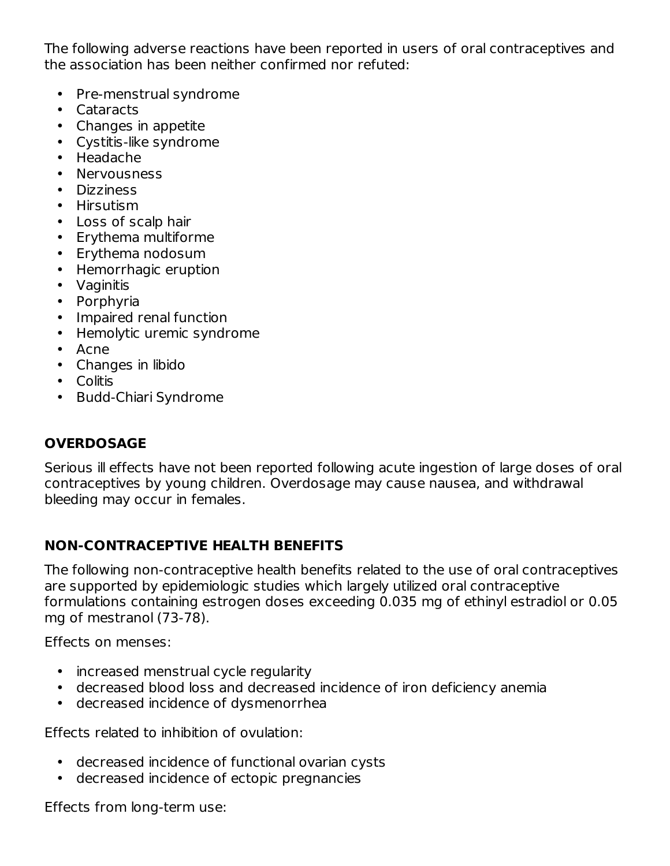The following adverse reactions have been reported in users of oral contraceptives and the association has been neither confirmed nor refuted:

- Pre-menstrual syndrome
- Cataracts
- Changes in appetite
- Cystitis-like syndrome
- Headache
- Nervousness
- Dizziness
- Hirsutism
- Loss of scalp hair
- Erythema multiforme
- Erythema nodosum
- Hemorrhagic eruption
- Vaginitis
- Porphyria
- Impaired renal function
- Hemolytic uremic syndrome
- Acne
- Changes in libido
- Colitis
- Budd-Chiari Syndrome

## **OVERDOSAGE**

Serious ill effects have not been reported following acute ingestion of large doses of oral contraceptives by young children. Overdosage may cause nausea, and withdrawal bleeding may occur in females.

## **NON-CONTRACEPTIVE HEALTH BENEFITS**

The following non-contraceptive health benefits related to the use of oral contraceptives are supported by epidemiologic studies which largely utilized oral contraceptive formulations containing estrogen doses exceeding 0.035 mg of ethinyl estradiol or 0.05 mg of mestranol (73-78).

Effects on menses:

- increased menstrual cycle regularity
- decreased blood loss and decreased incidence of iron deficiency anemia
- decreased incidence of dysmenorrhea

Effects related to inhibition of ovulation:

- decreased incidence of functional ovarian cysts
- decreased incidence of ectopic pregnancies

Effects from long-term use: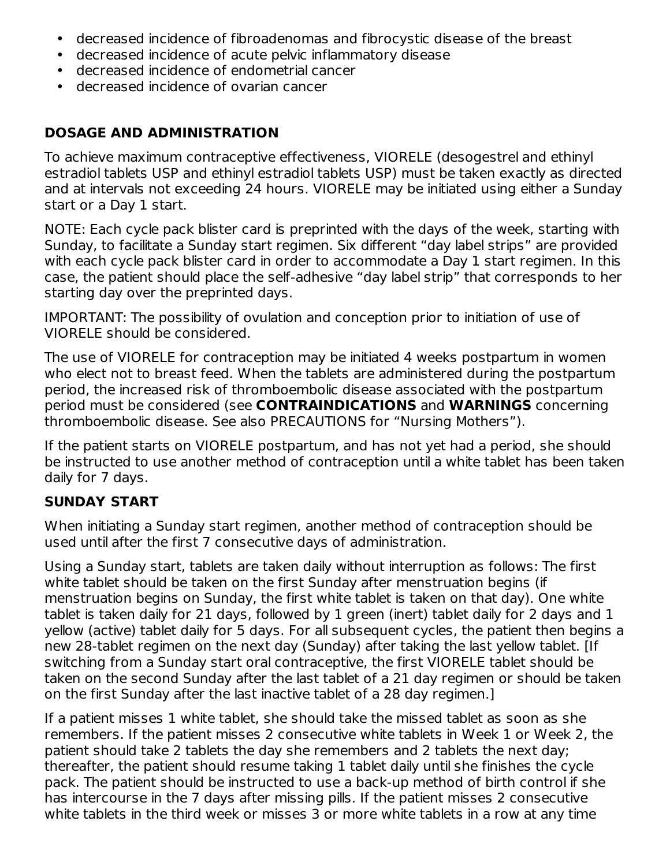- decreased incidence of fibroadenomas and fibrocystic disease of the breast
- decreased incidence of acute pelvic inflammatory disease
- decreased incidence of endometrial cancer
- decreased incidence of ovarian cancer

#### **DOSAGE AND ADMINISTRATION**

To achieve maximum contraceptive effectiveness, VIORELE (desogestrel and ethinyl estradiol tablets USP and ethinyl estradiol tablets USP) must be taken exactly as directed and at intervals not exceeding 24 hours. VIORELE may be initiated using either a Sunday start or a Day 1 start.

NOTE: Each cycle pack blister card is preprinted with the days of the week, starting with Sunday, to facilitate a Sunday start regimen. Six different "day label strips" are provided with each cycle pack blister card in order to accommodate a Day 1 start regimen. In this case, the patient should place the self-adhesive "day label strip" that corresponds to her starting day over the preprinted days.

IMPORTANT: The possibility of ovulation and conception prior to initiation of use of VIORELE should be considered.

The use of VIORELE for contraception may be initiated 4 weeks postpartum in women who elect not to breast feed. When the tablets are administered during the postpartum period, the increased risk of thromboembolic disease associated with the postpartum period must be considered (see **CONTRAINDICATIONS** and **WARNINGS** concerning thromboembolic disease. See also PRECAUTIONS for "Nursing Mothers").

If the patient starts on VIORELE postpartum, and has not yet had a period, she should be instructed to use another method of contraception until a white tablet has been taken daily for 7 days.

#### **SUNDAY START**

When initiating a Sunday start regimen, another method of contraception should be used until after the first 7 consecutive days of administration.

Using a Sunday start, tablets are taken daily without interruption as follows: The first white tablet should be taken on the first Sunday after menstruation begins (if menstruation begins on Sunday, the first white tablet is taken on that day). One white tablet is taken daily for 21 days, followed by 1 green (inert) tablet daily for 2 days and 1 yellow (active) tablet daily for 5 days. For all subsequent cycles, the patient then begins a new 28-tablet regimen on the next day (Sunday) after taking the last yellow tablet. [If switching from a Sunday start oral contraceptive, the first VIORELE tablet should be taken on the second Sunday after the last tablet of a 21 day regimen or should be taken on the first Sunday after the last inactive tablet of a 28 day regimen.]

If a patient misses 1 white tablet, she should take the missed tablet as soon as she remembers. If the patient misses 2 consecutive white tablets in Week 1 or Week 2, the patient should take 2 tablets the day she remembers and 2 tablets the next day; thereafter, the patient should resume taking 1 tablet daily until she finishes the cycle pack. The patient should be instructed to use a back-up method of birth control if she has intercourse in the 7 days after missing pills. If the patient misses 2 consecutive white tablets in the third week or misses 3 or more white tablets in a row at any time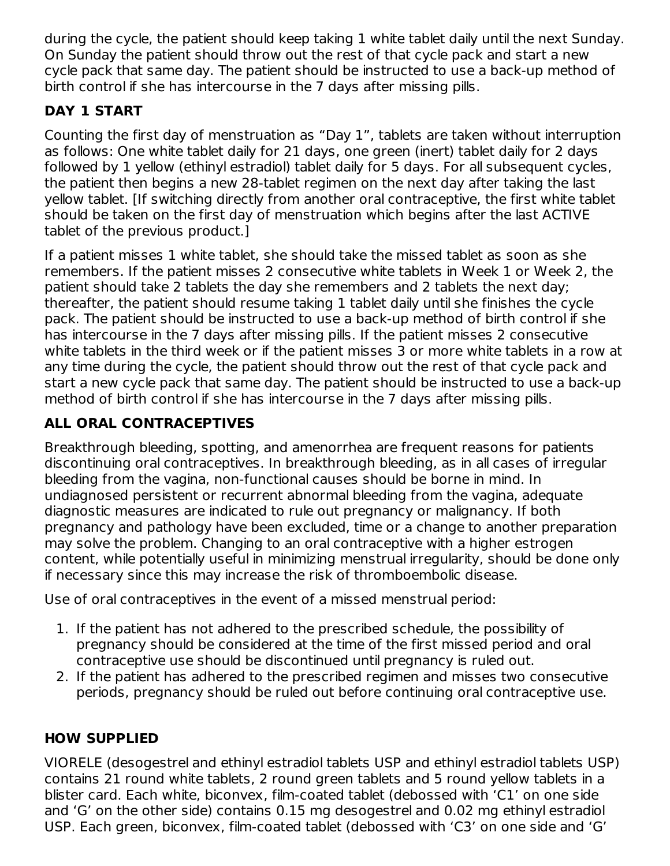during the cycle, the patient should keep taking 1 white tablet daily until the next Sunday. On Sunday the patient should throw out the rest of that cycle pack and start a new cycle pack that same day. The patient should be instructed to use a back-up method of birth control if she has intercourse in the 7 days after missing pills.

## **DAY 1 START**

Counting the first day of menstruation as "Day 1", tablets are taken without interruption as follows: One white tablet daily for 21 days, one green (inert) tablet daily for 2 days followed by 1 yellow (ethinyl estradiol) tablet daily for 5 days. For all subsequent cycles, the patient then begins a new 28-tablet regimen on the next day after taking the last yellow tablet. [If switching directly from another oral contraceptive, the first white tablet should be taken on the first day of menstruation which begins after the last ACTIVE tablet of the previous product.]

If a patient misses 1 white tablet, she should take the missed tablet as soon as she remembers. If the patient misses 2 consecutive white tablets in Week 1 or Week 2, the patient should take 2 tablets the day she remembers and 2 tablets the next day; thereafter, the patient should resume taking 1 tablet daily until she finishes the cycle pack. The patient should be instructed to use a back-up method of birth control if she has intercourse in the 7 days after missing pills. If the patient misses 2 consecutive white tablets in the third week or if the patient misses 3 or more white tablets in a row at any time during the cycle, the patient should throw out the rest of that cycle pack and start a new cycle pack that same day. The patient should be instructed to use a back-up method of birth control if she has intercourse in the 7 days after missing pills.

## **ALL ORAL CONTRACEPTIVES**

Breakthrough bleeding, spotting, and amenorrhea are frequent reasons for patients discontinuing oral contraceptives. In breakthrough bleeding, as in all cases of irregular bleeding from the vagina, non-functional causes should be borne in mind. In undiagnosed persistent or recurrent abnormal bleeding from the vagina, adequate diagnostic measures are indicated to rule out pregnancy or malignancy. If both pregnancy and pathology have been excluded, time or a change to another preparation may solve the problem. Changing to an oral contraceptive with a higher estrogen content, while potentially useful in minimizing menstrual irregularity, should be done only if necessary since this may increase the risk of thromboembolic disease.

Use of oral contraceptives in the event of a missed menstrual period:

- 1. If the patient has not adhered to the prescribed schedule, the possibility of pregnancy should be considered at the time of the first missed period and oral contraceptive use should be discontinued until pregnancy is ruled out.
- 2. If the patient has adhered to the prescribed regimen and misses two consecutive periods, pregnancy should be ruled out before continuing oral contraceptive use.

## **HOW SUPPLIED**

VIORELE (desogestrel and ethinyl estradiol tablets USP and ethinyl estradiol tablets USP) contains 21 round white tablets, 2 round green tablets and 5 round yellow tablets in a blister card. Each white, biconvex, film-coated tablet (debossed with 'C1' on one side and 'G' on the other side) contains 0.15 mg desogestrel and 0.02 mg ethinyl estradiol USP. Each green, biconvex, film-coated tablet (debossed with 'C3' on one side and 'G'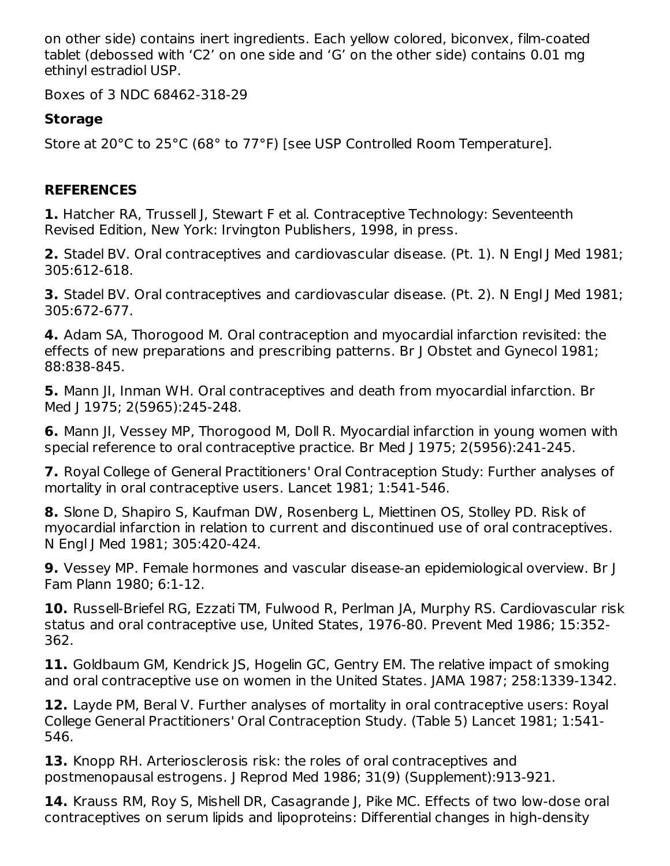on other side) contains inert ingredients. Each yellow colored, biconvex, film-coated tablet (debossed with 'C2' on one side and 'G' on the other side) contains 0.01 mg ethinyl estradiol USP.

Boxes of 3 NDC 68462-318-29

## **Storage**

Store at 20°C to 25°C (68° to 77°F) [see USP Controlled Room Temperature].

## **REFERENCES**

**1.** Hatcher RA, Trussell J, Stewart F et al. Contraceptive Technology: Seventeenth Revised Edition, New York: Irvington Publishers, 1998, in press.

**2.** Stadel BV. Oral contraceptives and cardiovascular disease. (Pt. 1). N Engl J Med 1981; 305:612-618.

**3.** Stadel BV. Oral contraceptives and cardiovascular disease. (Pt. 2). N Engl J Med 1981; 305:672-677.

**4.** Adam SA, Thorogood M. Oral contraception and myocardial infarction revisited: the effects of new preparations and prescribing patterns. Br J Obstet and Gynecol 1981; 88:838-845.

**5.** Mann JI, Inman WH. Oral contraceptives and death from myocardial infarction. Br Med | 1975; 2(5965): 245-248.

**6.** Mann JI, Vessey MP, Thorogood M, Doll R. Myocardial infarction in young women with special reference to oral contraceptive practice. Br Med | 1975; 2(5956):241-245.

**7.** Royal College of General Practitioners' Oral Contraception Study: Further analyses of mortality in oral contraceptive users. Lancet 1981; 1:541-546.

**8.** Slone D, Shapiro S, Kaufman DW, Rosenberg L, Miettinen OS, Stolley PD. Risk of myocardial infarction in relation to current and discontinued use of oral contraceptives. N Engl J Med 1981; 305:420-424.

**9.** Vessey MP. Female hormones and vascular disease-an epidemiological overview. Br J Fam Plann 1980; 6:1-12.

**10.** Russell-Briefel RG, Ezzati TM, Fulwood R, Perlman JA, Murphy RS. Cardiovascular risk status and oral contraceptive use, United States, 1976-80. Prevent Med 1986; 15:352- 362.

**11.** Goldbaum GM, Kendrick JS, Hogelin GC, Gentry EM. The relative impact of smoking and oral contraceptive use on women in the United States. JAMA 1987; 258:1339-1342.

**12.** Layde PM, Beral V. Further analyses of mortality in oral contraceptive users: Royal College General Practitioners' Oral Contraception Study. (Table 5) Lancet 1981; 1:541- 546.

**13.** Knopp RH. Arteriosclerosis risk: the roles of oral contraceptives and postmenopausal estrogens. J Reprod Med 1986; 31(9) (Supplement):913-921.

**14.** Krauss RM, Roy S, Mishell DR, Casagrande J, Pike MC. Effects of two low-dose oral contraceptives on serum lipids and lipoproteins: Differential changes in high-density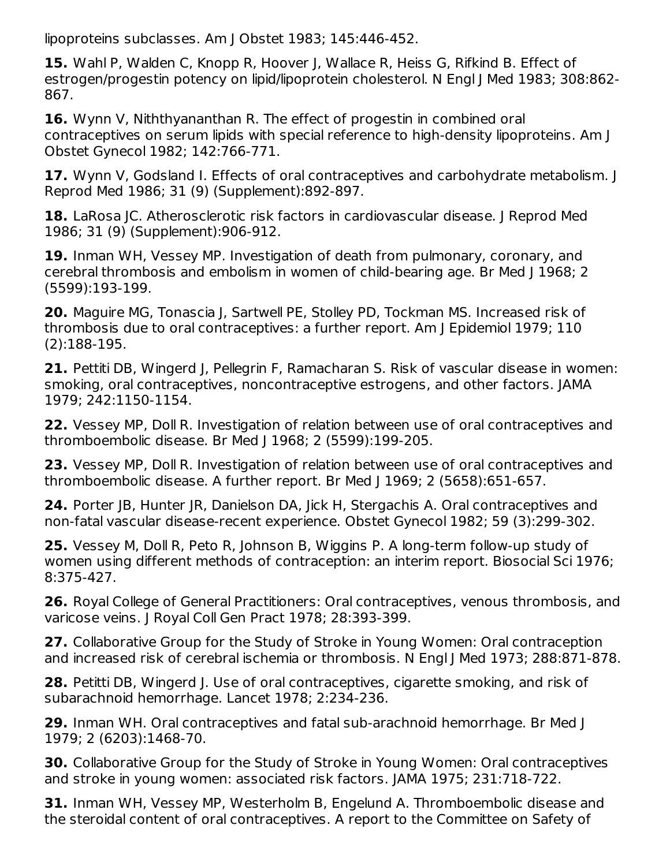lipoproteins subclasses. Am J Obstet 1983; 145:446-452.

**15.** Wahl P, Walden C, Knopp R, Hoover J, Wallace R, Heiss G, Rifkind B. Effect of estrogen/progestin potency on lipid/lipoprotein cholesterol. N Engl J Med 1983; 308:862- 867.

**16.** Wynn V, Niththyananthan R. The effect of progestin in combined oral contraceptives on serum lipids with special reference to high-density lipoproteins. Am J Obstet Gynecol 1982; 142:766-771.

**17.** Wynn V, Godsland I. Effects of oral contraceptives and carbohydrate metabolism. J Reprod Med 1986; 31 (9) (Supplement):892-897.

**18.** LaRosa JC. Atherosclerotic risk factors in cardiovascular disease. J Reprod Med 1986; 31 (9) (Supplement):906-912.

**19.** Inman WH, Vessey MP. Investigation of death from pulmonary, coronary, and cerebral thrombosis and embolism in women of child-bearing age. Br Med J 1968; 2 (5599):193-199.

**20.** Maguire MG, Tonascia J, Sartwell PE, Stolley PD, Tockman MS. Increased risk of thrombosis due to oral contraceptives: a further report. Am J Epidemiol 1979; 110 (2):188-195.

**21.** Pettiti DB, Wingerd J, Pellegrin F, Ramacharan S. Risk of vascular disease in women: smoking, oral contraceptives, noncontraceptive estrogens, and other factors. JAMA 1979; 242:1150-1154.

**22.** Vessey MP, Doll R. Investigation of relation between use of oral contraceptives and thromboembolic disease. Br Med J 1968; 2 (5599):199-205.

**23.** Vessey MP, Doll R. Investigation of relation between use of oral contraceptives and thromboembolic disease. A further report. Br Med J 1969; 2 (5658):651-657.

**24.** Porter JB, Hunter JR, Danielson DA, Jick H, Stergachis A. Oral contraceptives and non-fatal vascular disease-recent experience. Obstet Gynecol 1982; 59 (3):299-302.

**25.** Vessey M, Doll R, Peto R, Johnson B, Wiggins P. A long-term follow-up study of women using different methods of contraception: an interim report. Biosocial Sci 1976; 8:375-427.

**26.** Royal College of General Practitioners: Oral contraceptives, venous thrombosis, and varicose veins. J Royal Coll Gen Pract 1978; 28:393-399.

**27.** Collaborative Group for the Study of Stroke in Young Women: Oral contraception and increased risk of cerebral ischemia or thrombosis. N Engl J Med 1973; 288:871-878.

**28.** Petitti DB, Wingerd J. Use of oral contraceptives, cigarette smoking, and risk of subarachnoid hemorrhage. Lancet 1978; 2:234-236.

**29.** Inman WH. Oral contraceptives and fatal sub-arachnoid hemorrhage. Br Med J 1979; 2 (6203):1468-70.

**30.** Collaborative Group for the Study of Stroke in Young Women: Oral contraceptives and stroke in young women: associated risk factors. JAMA 1975; 231:718-722.

**31.** Inman WH, Vessey MP, Westerholm B, Engelund A. Thromboembolic disease and the steroidal content of oral contraceptives. A report to the Committee on Safety of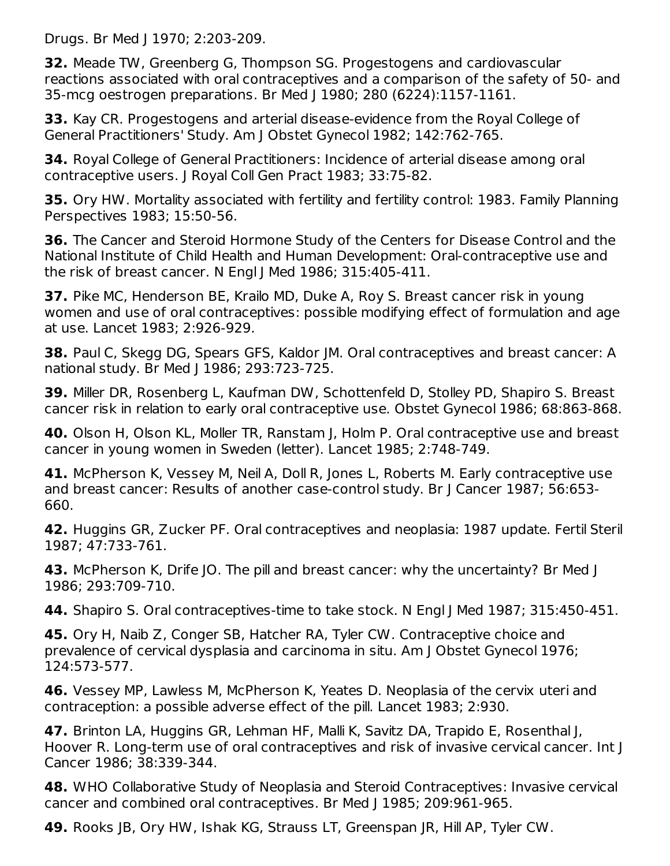Drugs. Br Med J 1970; 2:203-209.

**32.** Meade TW, Greenberg G, Thompson SG. Progestogens and cardiovascular reactions associated with oral contraceptives and a comparison of the safety of 50- and 35-mcg oestrogen preparations. Br Med J 1980; 280 (6224):1157-1161.

**33.** Kay CR. Progestogens and arterial disease-evidence from the Royal College of General Practitioners' Study. Am J Obstet Gynecol 1982; 142:762-765.

**34.** Royal College of General Practitioners: Incidence of arterial disease among oral contraceptive users. J Royal Coll Gen Pract 1983; 33:75-82.

**35.** Ory HW. Mortality associated with fertility and fertility control: 1983. Family Planning Perspectives 1983; 15:50-56.

**36.** The Cancer and Steroid Hormone Study of the Centers for Disease Control and the National Institute of Child Health and Human Development: Oral-contraceptive use and the risk of breast cancer. N Engl J Med 1986; 315:405-411.

**37.** Pike MC, Henderson BE, Krailo MD, Duke A, Roy S. Breast cancer risk in young women and use of oral contraceptives: possible modifying effect of formulation and age at use. Lancet 1983; 2:926-929.

**38.** Paul C, Skegg DG, Spears GFS, Kaldor JM. Oral contraceptives and breast cancer: A national study. Br Med J 1986; 293:723-725.

**39.** Miller DR, Rosenberg L, Kaufman DW, Schottenfeld D, Stolley PD, Shapiro S. Breast cancer risk in relation to early oral contraceptive use. Obstet Gynecol 1986; 68:863-868.

**40.** Olson H, Olson KL, Moller TR, Ranstam J, Holm P. Oral contraceptive use and breast cancer in young women in Sweden (letter). Lancet 1985; 2:748-749.

**41.** McPherson K, Vessey M, Neil A, Doll R, Jones L, Roberts M. Early contraceptive use and breast cancer: Results of another case-control study. Br J Cancer 1987; 56:653- 660.

**42.** Huggins GR, Zucker PF. Oral contraceptives and neoplasia: 1987 update. Fertil Steril 1987; 47:733-761.

**43.** McPherson K, Drife JO. The pill and breast cancer: why the uncertainty? Br Med J 1986; 293:709-710.

**44.** Shapiro S. Oral contraceptives-time to take stock. N Engl J Med 1987; 315:450-451.

**45.** Ory H, Naib Z, Conger SB, Hatcher RA, Tyler CW. Contraceptive choice and prevalence of cervical dysplasia and carcinoma in situ. Am J Obstet Gynecol 1976; 124:573-577.

**46.** Vessey MP, Lawless M, McPherson K, Yeates D. Neoplasia of the cervix uteri and contraception: a possible adverse effect of the pill. Lancet 1983; 2:930.

**47.** Brinton LA, Huggins GR, Lehman HF, Malli K, Savitz DA, Trapido E, Rosenthal J, Hoover R. Long-term use of oral contraceptives and risk of invasive cervical cancer. Int J Cancer 1986; 38:339-344.

**48.** WHO Collaborative Study of Neoplasia and Steroid Contraceptives: Invasive cervical cancer and combined oral contraceptives. Br Med J 1985; 209:961-965.

**49.** Rooks JB, Ory HW, Ishak KG, Strauss LT, Greenspan JR, Hill AP, Tyler CW.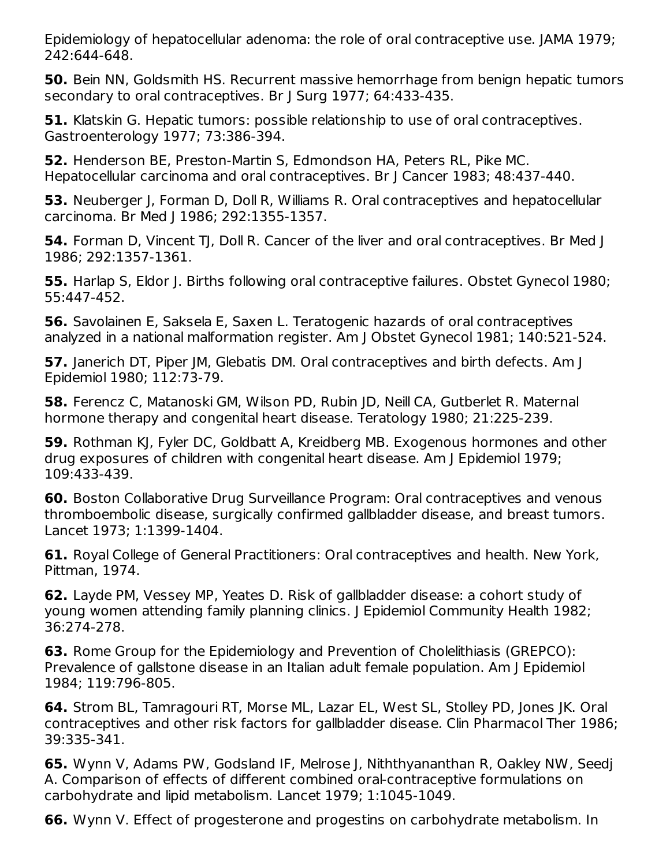Epidemiology of hepatocellular adenoma: the role of oral contraceptive use. JAMA 1979; 242:644-648.

**50.** Bein NN, Goldsmith HS. Recurrent massive hemorrhage from benign hepatic tumors secondary to oral contraceptives. Br J Surg 1977; 64:433-435.

**51.** Klatskin G. Hepatic tumors: possible relationship to use of oral contraceptives. Gastroenterology 1977; 73:386-394.

**52.** Henderson BE, Preston-Martin S, Edmondson HA, Peters RL, Pike MC. Hepatocellular carcinoma and oral contraceptives. Br J Cancer 1983; 48:437-440.

**53.** Neuberger J, Forman D, Doll R, Williams R. Oral contraceptives and hepatocellular carcinoma. Br Med | 1986; 292:1355-1357.

**54.** Forman D, Vincent TJ, Doll R. Cancer of the liver and oral contraceptives. Br Med J 1986; 292:1357-1361.

**55.** Harlap S, Eldor J. Births following oral contraceptive failures. Obstet Gynecol 1980; 55:447-452.

**56.** Savolainen E, Saksela E, Saxen L. Teratogenic hazards of oral contraceptives analyzed in a national malformation register. Am J Obstet Gynecol 1981; 140:521-524.

**57.** Janerich DT, Piper JM, Glebatis DM. Oral contraceptives and birth defects. Am J Epidemiol 1980; 112:73-79.

**58.** Ferencz C, Matanoski GM, Wilson PD, Rubin JD, Neill CA, Gutberlet R. Maternal hormone therapy and congenital heart disease. Teratology 1980; 21:225-239.

**59.** Rothman KJ, Fyler DC, Goldbatt A, Kreidberg MB. Exogenous hormones and other drug exposures of children with congenital heart disease. Am J Epidemiol 1979; 109:433-439.

**60.** Boston Collaborative Drug Surveillance Program: Oral contraceptives and venous thromboembolic disease, surgically confirmed gallbladder disease, and breast tumors. Lancet 1973; 1:1399-1404.

**61.** Royal College of General Practitioners: Oral contraceptives and health. New York, Pittman, 1974.

**62.** Layde PM, Vessey MP, Yeates D. Risk of gallbladder disease: a cohort study of young women attending family planning clinics. J Epidemiol Community Health 1982; 36:274-278.

**63.** Rome Group for the Epidemiology and Prevention of Cholelithiasis (GREPCO): Prevalence of gallstone disease in an Italian adult female population. Am J Epidemiol 1984; 119:796-805.

**64.** Strom BL, Tamragouri RT, Morse ML, Lazar EL, West SL, Stolley PD, Jones JK. Oral contraceptives and other risk factors for gallbladder disease. Clin Pharmacol Ther 1986; 39:335-341.

**65.** Wynn V, Adams PW, Godsland IF, Melrose J, Niththyananthan R, Oakley NW, Seedj A. Comparison of effects of different combined oral-contraceptive formulations on carbohydrate and lipid metabolism. Lancet 1979; 1:1045-1049.

**66.** Wynn V. Effect of progesterone and progestins on carbohydrate metabolism. In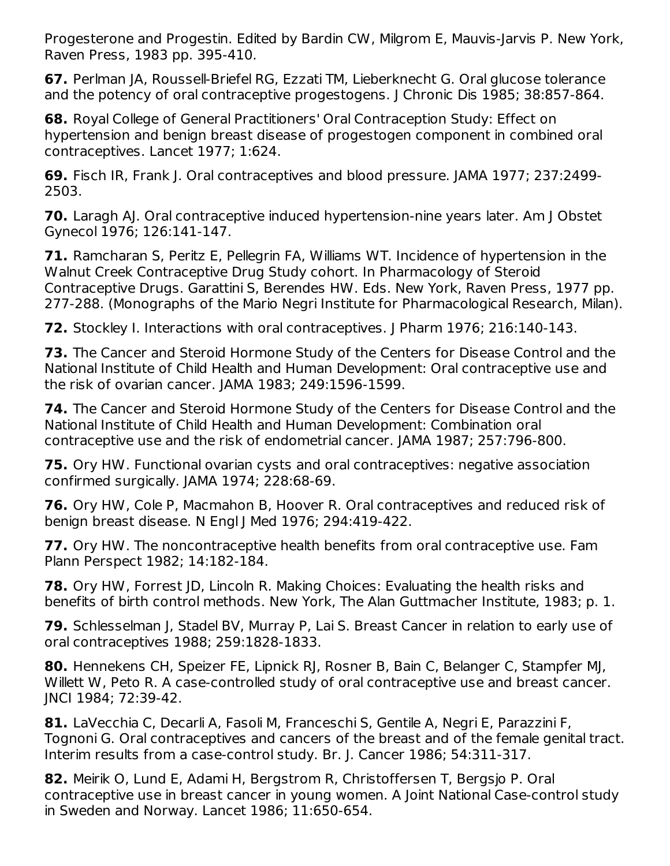Progesterone and Progestin. Edited by Bardin CW, Milgrom E, Mauvis-Jarvis P. New York, Raven Press, 1983 pp. 395-410.

**67.** Perlman JA, Roussell-Briefel RG, Ezzati TM, Lieberknecht G. Oral glucose tolerance and the potency of oral contraceptive progestogens. J Chronic Dis 1985; 38:857-864.

**68.** Royal College of General Practitioners' Oral Contraception Study: Effect on hypertension and benign breast disease of progestogen component in combined oral contraceptives. Lancet 1977; 1:624.

**69.** Fisch IR, Frank J. Oral contraceptives and blood pressure. JAMA 1977; 237:2499- 2503.

**70.** Laragh AJ. Oral contraceptive induced hypertension-nine years later. Am J Obstet Gynecol 1976; 126:141-147.

**71.** Ramcharan S, Peritz E, Pellegrin FA, Williams WT. Incidence of hypertension in the Walnut Creek Contraceptive Drug Study cohort. In Pharmacology of Steroid Contraceptive Drugs. Garattini S, Berendes HW. Eds. New York, Raven Press, 1977 pp. 277-288. (Monographs of the Mario Negri Institute for Pharmacological Research, Milan).

**72.** Stockley I. Interactions with oral contraceptives. J Pharm 1976; 216:140-143.

**73.** The Cancer and Steroid Hormone Study of the Centers for Disease Control and the National Institute of Child Health and Human Development: Oral contraceptive use and the risk of ovarian cancer. JAMA 1983; 249:1596-1599.

**74.** The Cancer and Steroid Hormone Study of the Centers for Disease Control and the National Institute of Child Health and Human Development: Combination oral contraceptive use and the risk of endometrial cancer. JAMA 1987; 257:796-800.

**75.** Ory HW. Functional ovarian cysts and oral contraceptives: negative association confirmed surgically. JAMA 1974; 228:68-69.

**76.** Ory HW, Cole P, Macmahon B, Hoover R. Oral contraceptives and reduced risk of benign breast disease. N Engl J Med 1976; 294:419-422.

**77.** Ory HW. The noncontraceptive health benefits from oral contraceptive use. Fam Plann Perspect 1982; 14:182-184.

**78.** Ory HW, Forrest ID, Lincoln R. Making Choices: Evaluating the health risks and benefits of birth control methods. New York, The Alan Guttmacher Institute, 1983; p. 1.

**79.** Schlesselman J, Stadel BV, Murray P, Lai S. Breast Cancer in relation to early use of oral contraceptives 1988; 259:1828-1833.

**80.** Hennekens CH, Speizer FE, Lipnick RJ, Rosner B, Bain C, Belanger C, Stampfer MJ, Willett W, Peto R. A case-controlled study of oral contraceptive use and breast cancer. JNCI 1984; 72:39-42.

**81.** LaVecchia C, Decarli A, Fasoli M, Franceschi S, Gentile A, Negri E, Parazzini F, Tognoni G. Oral contraceptives and cancers of the breast and of the female genital tract. Interim results from a case-control study. Br. J. Cancer 1986; 54:311-317.

**82.** Meirik O, Lund E, Adami H, Bergstrom R, Christoffersen T, Bergsjo P. Oral contraceptive use in breast cancer in young women. A Joint National Case-control study in Sweden and Norway. Lancet 1986; 11:650-654.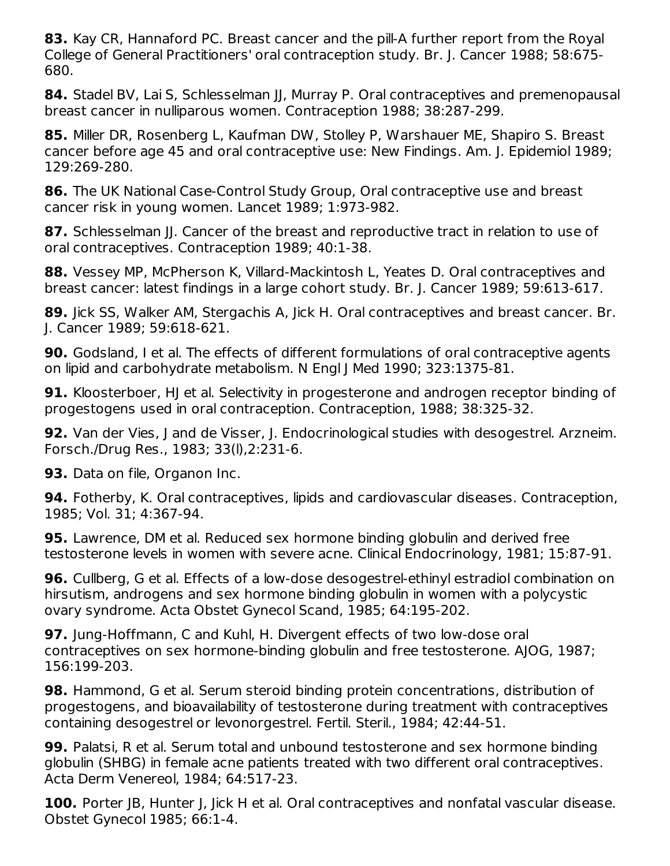**83.** Kay CR, Hannaford PC. Breast cancer and the pill-A further report from the Royal College of General Practitioners' oral contraception study. Br. J. Cancer 1988; 58:675- 680.

**84.** Stadel BV, Lai S, Schlesselman JJ, Murray P. Oral contraceptives and premenopausal breast cancer in nulliparous women. Contraception 1988; 38:287-299.

**85.** Miller DR, Rosenberg L, Kaufman DW, Stolley P, Warshauer ME, Shapiro S. Breast cancer before age 45 and oral contraceptive use: New Findings. Am. J. Epidemiol 1989; 129:269-280.

**86.** The UK National Case-Control Study Group, Oral contraceptive use and breast cancer risk in young women. Lancet 1989; 1:973-982.

**87.** Schlesselman II. Cancer of the breast and reproductive tract in relation to use of oral contraceptives. Contraception 1989; 40:1-38.

**88.** Vessey MP, McPherson K, Villard-Mackintosh L, Yeates D. Oral contraceptives and breast cancer: latest findings in a large cohort study. Br. J. Cancer 1989; 59:613-617.

**89.** Jick SS, Walker AM, Stergachis A, Jick H. Oral contraceptives and breast cancer. Br. J. Cancer 1989; 59:618-621.

**90.** Godsland, I et al. The effects of different formulations of oral contraceptive agents on lipid and carbohydrate metabolism. N Engl J Med 1990; 323:1375-81.

**91.** Kloosterboer, HJ et al. Selectivity in progesterone and androgen receptor binding of progestogens used in oral contraception. Contraception, 1988; 38:325-32.

**92.** Van der Vies, J and de Visser, J. Endocrinological studies with desogestrel. Arzneim. Forsch./Drug Res., 1983; 33(l),2:231-6.

**93.** Data on file, Organon Inc.

**94.** Fotherby, K. Oral contraceptives, lipids and cardiovascular diseases. Contraception, 1985; Vol. 31; 4:367-94.

**95.** Lawrence, DM et al. Reduced sex hormone binding globulin and derived free testosterone levels in women with severe acne. Clinical Endocrinology, 1981; 15:87-91.

**96.** Cullberg, G et al. Effects of a low-dose desogestrel-ethinyl estradiol combination on hirsutism, androgens and sex hormone binding globulin in women with a polycystic ovary syndrome. Acta Obstet Gynecol Scand, 1985; 64:195-202.

**97.** Jung-Hoffmann, C and Kuhl, H. Divergent effects of two low-dose oral contraceptives on sex hormone-binding globulin and free testosterone. AJOG, 1987; 156:199-203.

**98.** Hammond, G et al. Serum steroid binding protein concentrations, distribution of progestogens, and bioavailability of testosterone during treatment with contraceptives containing desogestrel or levonorgestrel. Fertil. Steril., 1984; 42:44-51.

**99.** Palatsi, R et al. Serum total and unbound testosterone and sex hormone binding globulin (SHBG) in female acne patients treated with two different oral contraceptives. Acta Derm Venereol, 1984; 64:517-23.

**100.** Porter JB, Hunter J, Jick H et al. Oral contraceptives and nonfatal vascular disease. Obstet Gynecol 1985; 66:1-4.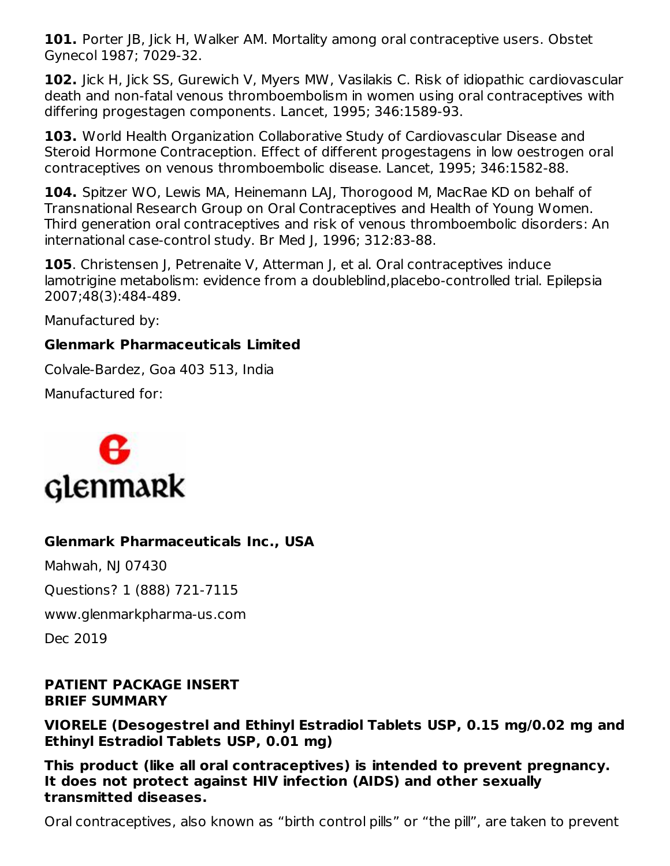**101.** Porter JB, Jick H, Walker AM. Mortality among oral contraceptive users. Obstet Gynecol 1987; 7029-32.

**102.** Jick H, Jick SS, Gurewich V, Myers MW, Vasilakis C. Risk of idiopathic cardiovascular death and non-fatal venous thromboembolism in women using oral contraceptives with differing progestagen components. Lancet, 1995; 346:1589-93.

**103.** World Health Organization Collaborative Study of Cardiovascular Disease and Steroid Hormone Contraception. Effect of different progestagens in low oestrogen oral contraceptives on venous thromboembolic disease. Lancet, 1995; 346:1582-88.

**104.** Spitzer WO, Lewis MA, Heinemann LAJ, Thorogood M, MacRae KD on behalf of Transnational Research Group on Oral Contraceptives and Health of Young Women. Third generation oral contraceptives and risk of venous thromboembolic disorders: An international case-control study. Br Med J, 1996; 312:83-88.

**105**. Christensen J, Petrenaite V, Atterman J, et al. Oral contraceptives induce lamotrigine metabolism: evidence from a doubleblind,placebo-controlled trial. Epilepsia 2007;48(3):484-489.

Manufactured by:

## **Glenmark Pharmaceuticals Limited**

Colvale-Bardez, Goa 403 513, India

Manufactured for:



## **Glenmark Pharmaceuticals Inc., USA**

Mahwah, NJ 07430

Questions? 1 (888) 721-7115

www.glenmarkpharma-us.com

Dec 2019

#### **PATIENT PACKAGE INSERT BRIEF SUMMARY**

**VIORELE (Desogestrel and Ethinyl Estradiol Tablets USP, 0.15 mg/0.02 mg and Ethinyl Estradiol Tablets USP, 0.01 mg)**

**This product (like all oral contraceptives) is intended to prevent pregnancy. It does not protect against HIV infection (AIDS) and other sexually transmitted diseases.**

Oral contraceptives, also known as "birth control pills" or "the pill", are taken to prevent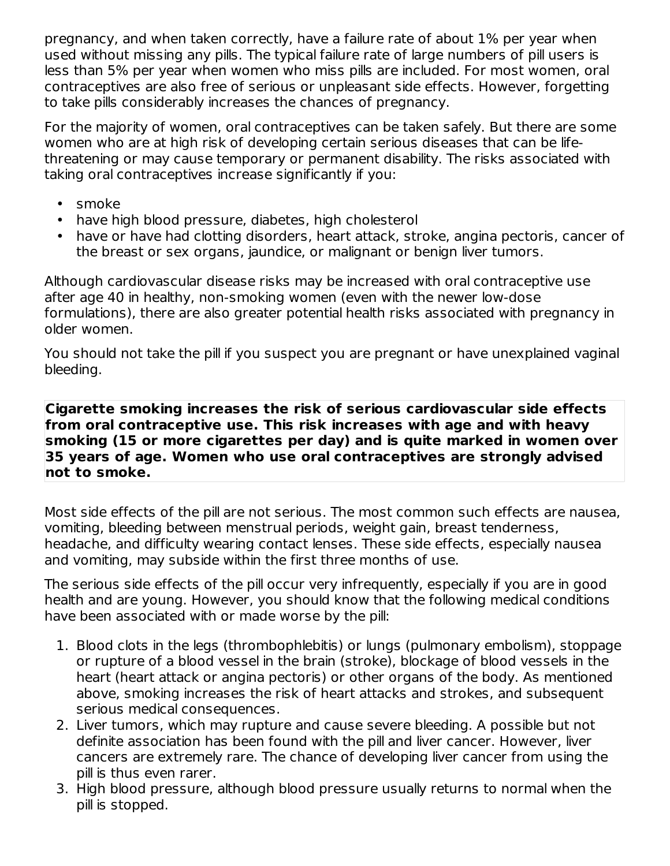pregnancy, and when taken correctly, have a failure rate of about 1% per year when used without missing any pills. The typical failure rate of large numbers of pill users is less than 5% per year when women who miss pills are included. For most women, oral contraceptives are also free of serious or unpleasant side effects. However, forgetting to take pills considerably increases the chances of pregnancy.

For the majority of women, oral contraceptives can be taken safely. But there are some women who are at high risk of developing certain serious diseases that can be lifethreatening or may cause temporary or permanent disability. The risks associated with taking oral contraceptives increase significantly if you:

- smoke
- have high blood pressure, diabetes, high cholesterol
- have or have had clotting disorders, heart attack, stroke, angina pectoris, cancer of the breast or sex organs, jaundice, or malignant or benign liver tumors.

Although cardiovascular disease risks may be increased with oral contraceptive use after age 40 in healthy, non-smoking women (even with the newer low-dose formulations), there are also greater potential health risks associated with pregnancy in older women.

You should not take the pill if you suspect you are pregnant or have unexplained vaginal bleeding.

**Cigarette smoking increases the risk of serious cardiovascular side effects from oral contraceptive use. This risk increases with age and with heavy smoking (15 or more cigarettes per day) and is quite marked in women over 35 years of age. Women who use oral contraceptives are strongly advised not to smoke.**

Most side effects of the pill are not serious. The most common such effects are nausea, vomiting, bleeding between menstrual periods, weight gain, breast tenderness, headache, and difficulty wearing contact lenses. These side effects, especially nausea and vomiting, may subside within the first three months of use.

The serious side effects of the pill occur very infrequently, especially if you are in good health and are young. However, you should know that the following medical conditions have been associated with or made worse by the pill:

- 1. Blood clots in the legs (thrombophlebitis) or lungs (pulmonary embolism), stoppage or rupture of a blood vessel in the brain (stroke), blockage of blood vessels in the heart (heart attack or angina pectoris) or other organs of the body. As mentioned above, smoking increases the risk of heart attacks and strokes, and subsequent serious medical consequences.
- 2. Liver tumors, which may rupture and cause severe bleeding. A possible but not definite association has been found with the pill and liver cancer. However, liver cancers are extremely rare. The chance of developing liver cancer from using the pill is thus even rarer.
- 3. High blood pressure, although blood pressure usually returns to normal when the pill is stopped.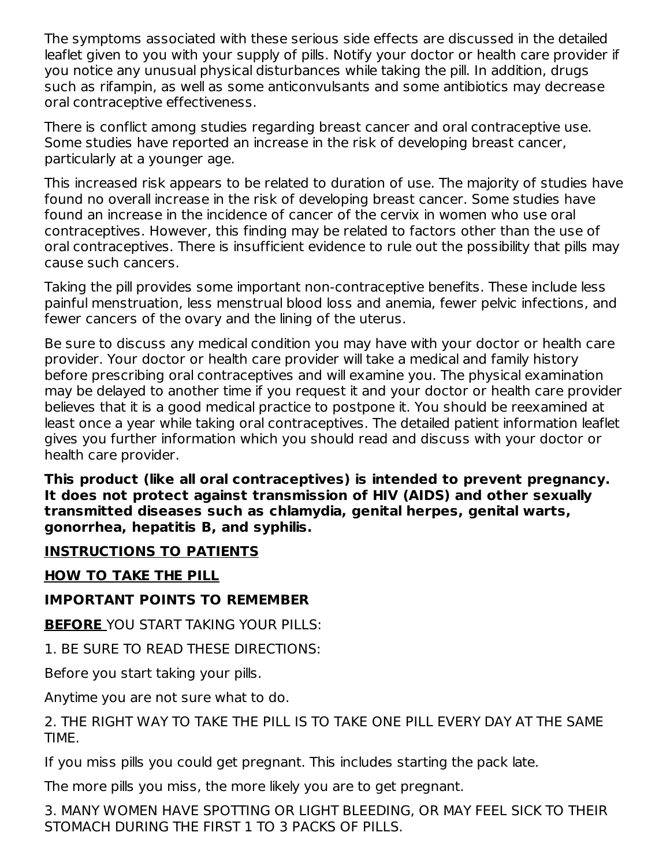The symptoms associated with these serious side effects are discussed in the detailed leaflet given to you with your supply of pills. Notify your doctor or health care provider if you notice any unusual physical disturbances while taking the pill. In addition, drugs such as rifampin, as well as some anticonvulsants and some antibiotics may decrease oral contraceptive effectiveness.

There is conflict among studies regarding breast cancer and oral contraceptive use. Some studies have reported an increase in the risk of developing breast cancer, particularly at a younger age.

This increased risk appears to be related to duration of use. The majority of studies have found no overall increase in the risk of developing breast cancer. Some studies have found an increase in the incidence of cancer of the cervix in women who use oral contraceptives. However, this finding may be related to factors other than the use of oral contraceptives. There is insufficient evidence to rule out the possibility that pills may cause such cancers.

Taking the pill provides some important non-contraceptive benefits. These include less painful menstruation, less menstrual blood loss and anemia, fewer pelvic infections, and fewer cancers of the ovary and the lining of the uterus.

Be sure to discuss any medical condition you may have with your doctor or health care provider. Your doctor or health care provider will take a medical and family history before prescribing oral contraceptives and will examine you. The physical examination may be delayed to another time if you request it and your doctor or health care provider believes that it is a good medical practice to postpone it. You should be reexamined at least once a year while taking oral contraceptives. The detailed patient information leaflet gives you further information which you should read and discuss with your doctor or health care provider.

**This product (like all oral contraceptives) is intended to prevent pregnancy. It does not protect against transmission of HIV (AIDS) and other sexually transmitted diseases such as chlamydia, genital herpes, genital warts, gonorrhea, hepatitis B, and syphilis.**

#### **INSTRUCTIONS TO PATIENTS**

## **HOW TO TAKE THE PILL**

## **IMPORTANT POINTS TO REMEMBER**

**BEFORE** YOU START TAKING YOUR PILLS:

1. BE SURE TO READ THESE DIRECTIONS:

Before you start taking your pills.

Anytime you are not sure what to do.

2. THE RIGHT WAY TO TAKE THE PILL IS TO TAKE ONE PILL EVERY DAY AT THE SAME TIME.

If you miss pills you could get pregnant. This includes starting the pack late.

The more pills you miss, the more likely you are to get pregnant.

3. MANY WOMEN HAVE SPOTTING OR LIGHT BLEEDING, OR MAY FEEL SICK TO THEIR STOMACH DURING THE FIRST 1 TO 3 PACKS OF PILLS.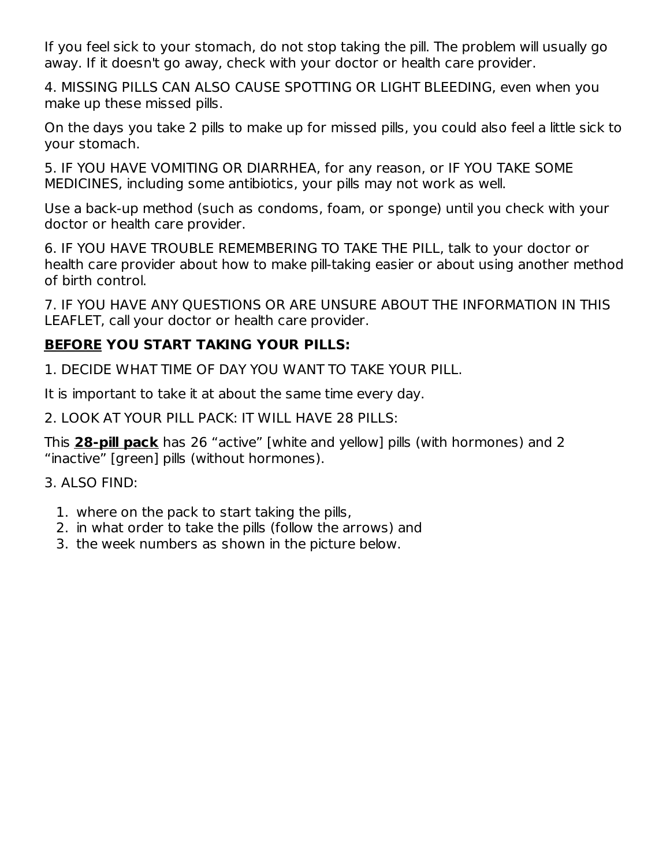If you feel sick to your stomach, do not stop taking the pill. The problem will usually go away. If it doesn't go away, check with your doctor or health care provider.

4. MISSING PILLS CAN ALSO CAUSE SPOTTING OR LIGHT BLEEDING, even when you make up these missed pills.

On the days you take 2 pills to make up for missed pills, you could also feel a little sick to your stomach.

5. IF YOU HAVE VOMITING OR DIARRHEA, for any reason, or IF YOU TAKE SOME MEDICINES, including some antibiotics, your pills may not work as well.

Use a back-up method (such as condoms, foam, or sponge) until you check with your doctor or health care provider.

6. IF YOU HAVE TROUBLE REMEMBERING TO TAKE THE PILL, talk to your doctor or health care provider about how to make pill-taking easier or about using another method of birth control.

7. IF YOU HAVE ANY QUESTIONS OR ARE UNSURE ABOUT THE INFORMATION IN THIS LEAFLET, call your doctor or health care provider.

## **BEFORE YOU START TAKING YOUR PILLS:**

1. DECIDE WHAT TIME OF DAY YOU WANT TO TAKE YOUR PILL.

It is important to take it at about the same time every day.

2. LOOK AT YOUR PILL PACK: IT WILL HAVE 28 PILLS:

This **28-pill pack** has 26 "active" [white and yellow] pills (with hormones) and 2 "inactive" [green] pills (without hormones).

3. ALSO FIND:

- 1. where on the pack to start taking the pills,
- 2. in what order to take the pills (follow the arrows) and
- 3. the week numbers as shown in the picture below.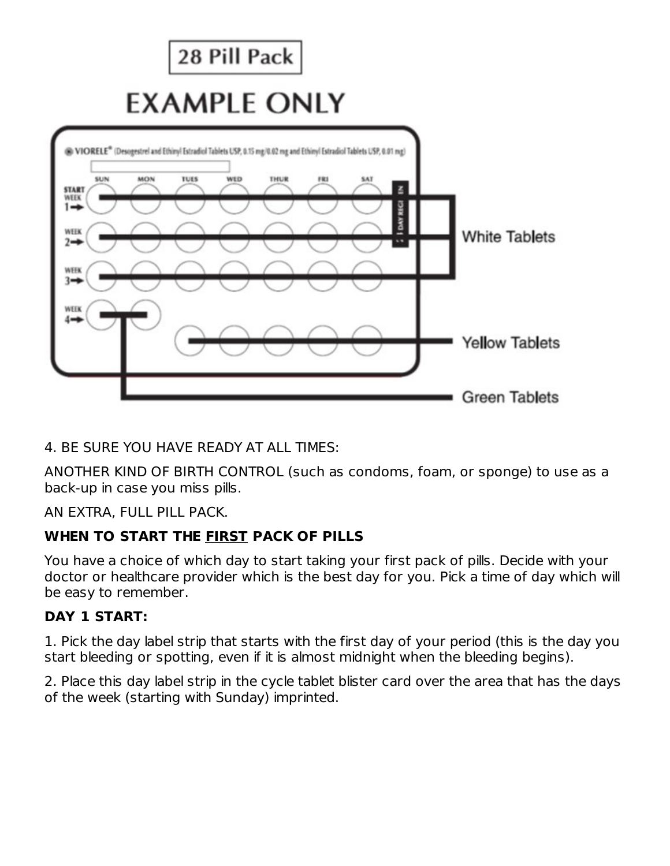

#### 4. BE SURE YOU HAVE READY AT ALL TIMES:

ANOTHER KIND OF BIRTH CONTROL (such as condoms, foam, or sponge) to use as a back-up in case you miss pills.

AN EXTRA, FULL PILL PACK.

## **WHEN TO START THE FIRST PACK OF PILLS**

You have a choice of which day to start taking your first pack of pills. Decide with your doctor or healthcare provider which is the best day for you. Pick a time of day which will be easy to remember.

## **DAY 1 START:**

1. Pick the day label strip that starts with the first day of your period (this is the day you start bleeding or spotting, even if it is almost midnight when the bleeding begins).

2. Place this day label strip in the cycle tablet blister card over the area that has the days of the week (starting with Sunday) imprinted.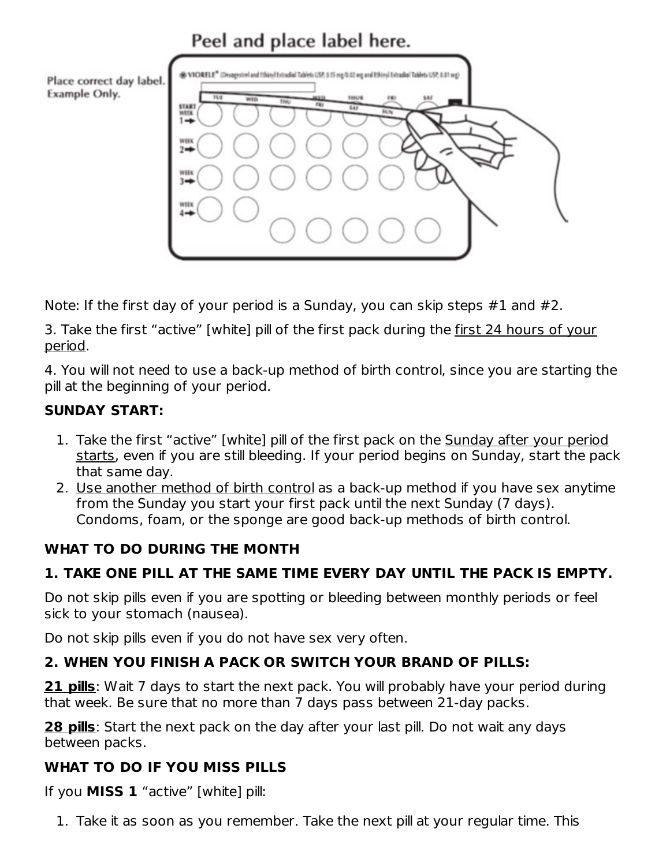# Peel and place label here.

Place correct day label. Example Only.



Note: If the first day of your period is a Sunday, you can skip steps #1 and #2.

3. Take the first "active" [white] pill of the first pack during the first 24 hours of your period.

4. You will not need to use a back-up method of birth control, since you are starting the pill at the beginning of your period.

## **SUNDAY START:**

- 1. Take the first "active" [white] pill of the first pack on the <u>Sunday after your period</u> starts, even if you are still bleeding. If your period begins on Sunday, start the pack that same day.
- 2. <u>Use another method of birth control</u> as a back-up method if you have sex anytime from the Sunday you start your first pack until the next Sunday (7 days). Condoms, foam, or the sponge are good back-up methods of birth control.

## **WHAT TO DO DURING THE MONTH**

## **1. TAKE ONE PILL AT THE SAME TIME EVERY DAY UNTIL THE PACK IS EMPTY.**

Do not skip pills even if you are spotting or bleeding between monthly periods or feel sick to your stomach (nausea).

Do not skip pills even if you do not have sex very often.

## **2. WHEN YOU FINISH A PACK OR SWITCH YOUR BRAND OF PILLS:**

**21 pills**: Wait 7 days to start the next pack. You will probably have your period during that week. Be sure that no more than 7 days pass between 21-day packs.

**28 pills**: Start the next pack on the day after your last pill. Do not wait any days between packs.

## **WHAT TO DO IF YOU MISS PILLS**

If you **MISS 1** "active" [white] pill:

1. Take it as soon as you remember. Take the next pill at your regular time. This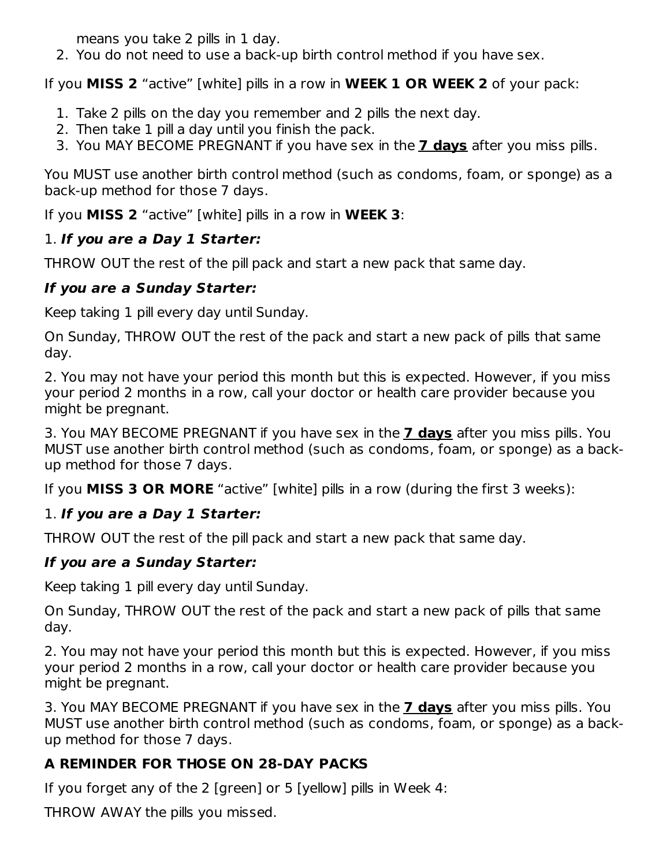means you take 2 pills in 1 day.

2. You do not need to use a back-up birth control method if you have sex.

If you **MISS 2** "active" [white] pills in a row in **WEEK 1 OR WEEK 2** of your pack:

- 1. Take 2 pills on the day you remember and 2 pills the next day.
- 2. Then take 1 pill a day until you finish the pack.
- 3. You MAY BECOME PREGNANT if you have sex in the **7 days** after you miss pills.

You MUST use another birth control method (such as condoms, foam, or sponge) as a back-up method for those 7 days.

If you **MISS 2** "active" [white] pills in a row in **WEEK 3**:

## 1. **If you are a Day 1 Starter:**

THROW OUT the rest of the pill pack and start a new pack that same day.

## **If you are a Sunday Starter:**

Keep taking 1 pill every day until Sunday.

On Sunday, THROW OUT the rest of the pack and start a new pack of pills that same day.

2. You may not have your period this month but this is expected. However, if you miss your period 2 months in a row, call your doctor or health care provider because you might be pregnant.

3. You MAY BECOME PREGNANT if you have sex in the **7 days** after you miss pills. You MUST use another birth control method (such as condoms, foam, or sponge) as a backup method for those 7 days.

If you **MISS 3 OR MORE** "active" [white] pills in a row (during the first 3 weeks):

## 1. **If you are a Day 1 Starter:**

THROW OUT the rest of the pill pack and start a new pack that same day.

## **If you are a Sunday Starter:**

Keep taking 1 pill every day until Sunday.

On Sunday, THROW OUT the rest of the pack and start a new pack of pills that same day.

2. You may not have your period this month but this is expected. However, if you miss your period 2 months in a row, call your doctor or health care provider because you might be pregnant.

3. You MAY BECOME PREGNANT if you have sex in the **7 days** after you miss pills. You MUST use another birth control method (such as condoms, foam, or sponge) as a backup method for those 7 days.

## **A REMINDER FOR THOSE ON 28-DAY PACKS**

If you forget any of the 2 [green] or 5 [yellow] pills in Week 4:

THROW AWAY the pills you missed.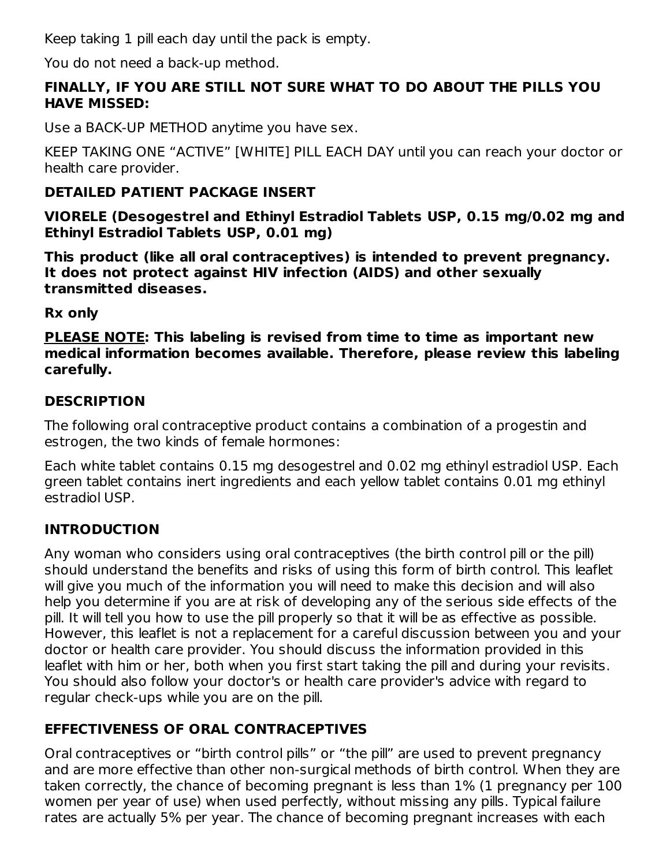Keep taking 1 pill each day until the pack is empty.

You do not need a back-up method.

## **FINALLY, IF YOU ARE STILL NOT SURE WHAT TO DO ABOUT THE PILLS YOU HAVE MISSED:**

Use a BACK-UP METHOD anytime you have sex.

KEEP TAKING ONE "ACTIVE" [WHITE] PILL EACH DAY until you can reach your doctor or health care provider.

## **DETAILED PATIENT PACKAGE INSERT**

**VIORELE (Desogestrel and Ethinyl Estradiol Tablets USP, 0.15 mg/0.02 mg and Ethinyl Estradiol Tablets USP, 0.01 mg)**

**This product (like all oral contraceptives) is intended to prevent pregnancy. It does not protect against HIV infection (AIDS) and other sexually transmitted diseases.**

**Rx only**

**PLEASE NOTE: This labeling is revised from time to time as important new medical information becomes available. Therefore, please review this labeling carefully.**

## **DESCRIPTION**

The following oral contraceptive product contains a combination of a progestin and estrogen, the two kinds of female hormones:

Each white tablet contains 0.15 mg desogestrel and 0.02 mg ethinyl estradiol USP. Each green tablet contains inert ingredients and each yellow tablet contains 0.01 mg ethinyl estradiol USP.

## **INTRODUCTION**

Any woman who considers using oral contraceptives (the birth control pill or the pill) should understand the benefits and risks of using this form of birth control. This leaflet will give you much of the information you will need to make this decision and will also help you determine if you are at risk of developing any of the serious side effects of the pill. It will tell you how to use the pill properly so that it will be as effective as possible. However, this leaflet is not a replacement for a careful discussion between you and your doctor or health care provider. You should discuss the information provided in this leaflet with him or her, both when you first start taking the pill and during your revisits. You should also follow your doctor's or health care provider's advice with regard to regular check-ups while you are on the pill.

## **EFFECTIVENESS OF ORAL CONTRACEPTIVES**

Oral contraceptives or "birth control pills" or "the pill" are used to prevent pregnancy and are more effective than other non-surgical methods of birth control. When they are taken correctly, the chance of becoming pregnant is less than 1% (1 pregnancy per 100 women per year of use) when used perfectly, without missing any pills. Typical failure rates are actually 5% per year. The chance of becoming pregnant increases with each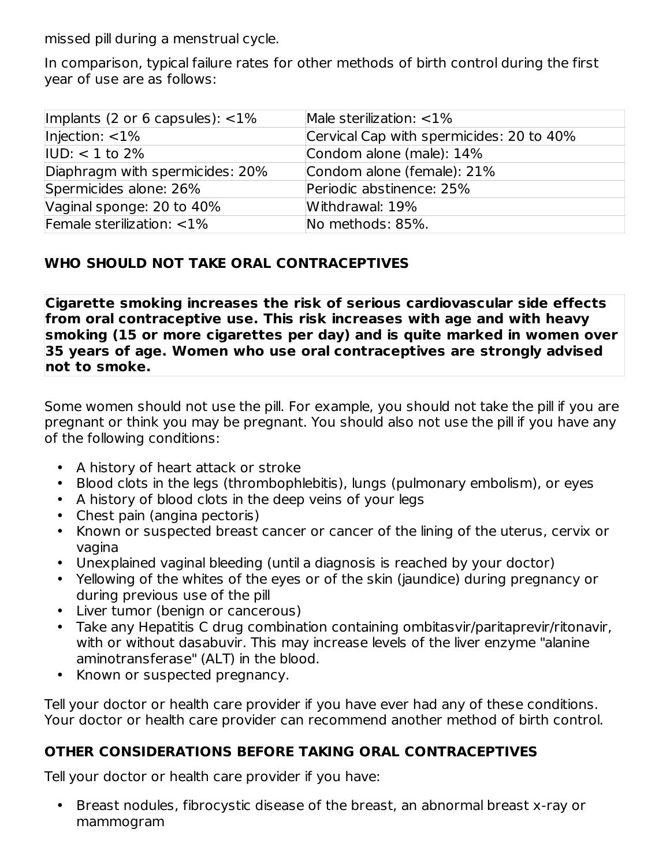missed pill during a menstrual cycle.

In comparison, typical failure rates for other methods of birth control during the first year of use are as follows:

| Implants (2 or 6 capsules): $<$ 1% | Male sterilization: $<$ 1%               |
|------------------------------------|------------------------------------------|
| Injection: $<$ 1%                  | Cervical Cap with spermicides: 20 to 40% |
| $ UD: < 1$ to 2%                   | Condom alone (male): 14%                 |
| Diaphragm with spermicides: 20%    | Condom alone (female): 21%               |
| Spermicides alone: 26%             | Periodic abstinence: 25%                 |
| Vaginal sponge: 20 to 40%          | Withdrawal: 19%                          |
| Female sterilization: $<$ 1%       | No methods: 85%.                         |

## **WHO SHOULD NOT TAKE ORAL CONTRACEPTIVES**

**Cigarette smoking increases the risk of serious cardiovascular side effects from oral contraceptive use. This risk increases with age and with heavy smoking (15 or more cigarettes per day) and is quite marked in women over 35 years of age. Women who use oral contraceptives are strongly advised not to smoke.**

Some women should not use the pill. For example, you should not take the pill if you are pregnant or think you may be pregnant. You should also not use the pill if you have any of the following conditions:

- A history of heart attack or stroke
- Blood clots in the legs (thrombophlebitis), lungs (pulmonary embolism), or eyes
- A history of blood clots in the deep veins of your legs
- Chest pain (angina pectoris)
- Known or suspected breast cancer or cancer of the lining of the uterus, cervix or vagina
- Unexplained vaginal bleeding (until a diagnosis is reached by your doctor)
- Yellowing of the whites of the eyes or of the skin (jaundice) during pregnancy or during previous use of the pill
- Liver tumor (benign or cancerous)
- Take any Hepatitis C drug combination containing ombitasvir/paritaprevir/ritonavir, with or without dasabuvir. This may increase levels of the liver enzyme "alanine" aminotransferase" (ALT) in the blood.
- Known or suspected pregnancy.

Tell your doctor or health care provider if you have ever had any of these conditions. Your doctor or health care provider can recommend another method of birth control.

## **OTHER CONSIDERATIONS BEFORE TAKING ORAL CONTRACEPTIVES**

Tell your doctor or health care provider if you have:

• Breast nodules, fibrocystic disease of the breast, an abnormal breast x-ray or mammogram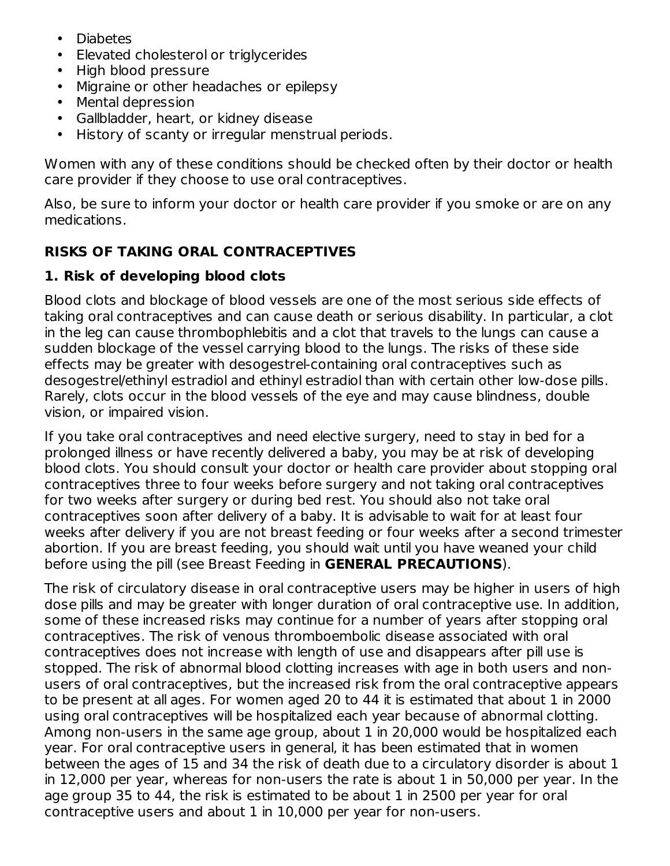- Diabetes
- Elevated cholesterol or triglycerides
- High blood pressure
- Migraine or other headaches or epilepsy
- Mental depression
- Gallbladder, heart, or kidney disease
- History of scanty or irregular menstrual periods.

Women with any of these conditions should be checked often by their doctor or health care provider if they choose to use oral contraceptives.

Also, be sure to inform your doctor or health care provider if you smoke or are on any medications.

## **RISKS OF TAKING ORAL CONTRACEPTIVES**

#### **1. Risk of developing blood clots**

Blood clots and blockage of blood vessels are one of the most serious side effects of taking oral contraceptives and can cause death or serious disability. In particular, a clot in the leg can cause thrombophlebitis and a clot that travels to the lungs can cause a sudden blockage of the vessel carrying blood to the lungs. The risks of these side effects may be greater with desogestrel-containing oral contraceptives such as desogestrel/ethinyl estradiol and ethinyl estradiol than with certain other low-dose pills. Rarely, clots occur in the blood vessels of the eye and may cause blindness, double vision, or impaired vision.

If you take oral contraceptives and need elective surgery, need to stay in bed for a prolonged illness or have recently delivered a baby, you may be at risk of developing blood clots. You should consult your doctor or health care provider about stopping oral contraceptives three to four weeks before surgery and not taking oral contraceptives for two weeks after surgery or during bed rest. You should also not take oral contraceptives soon after delivery of a baby. It is advisable to wait for at least four weeks after delivery if you are not breast feeding or four weeks after a second trimester abortion. If you are breast feeding, you should wait until you have weaned your child before using the pill (see Breast Feeding in **GENERAL PRECAUTIONS**).

The risk of circulatory disease in oral contraceptive users may be higher in users of high dose pills and may be greater with longer duration of oral contraceptive use. In addition, some of these increased risks may continue for a number of years after stopping oral contraceptives. The risk of venous thromboembolic disease associated with oral contraceptives does not increase with length of use and disappears after pill use is stopped. The risk of abnormal blood clotting increases with age in both users and nonusers of oral contraceptives, but the increased risk from the oral contraceptive appears to be present at all ages. For women aged 20 to 44 it is estimated that about 1 in 2000 using oral contraceptives will be hospitalized each year because of abnormal clotting. Among non-users in the same age group, about 1 in 20,000 would be hospitalized each year. For oral contraceptive users in general, it has been estimated that in women between the ages of 15 and 34 the risk of death due to a circulatory disorder is about 1 in 12,000 per year, whereas for non-users the rate is about 1 in 50,000 per year. In the age group 35 to 44, the risk is estimated to be about 1 in 2500 per year for oral contraceptive users and about 1 in 10,000 per year for non-users.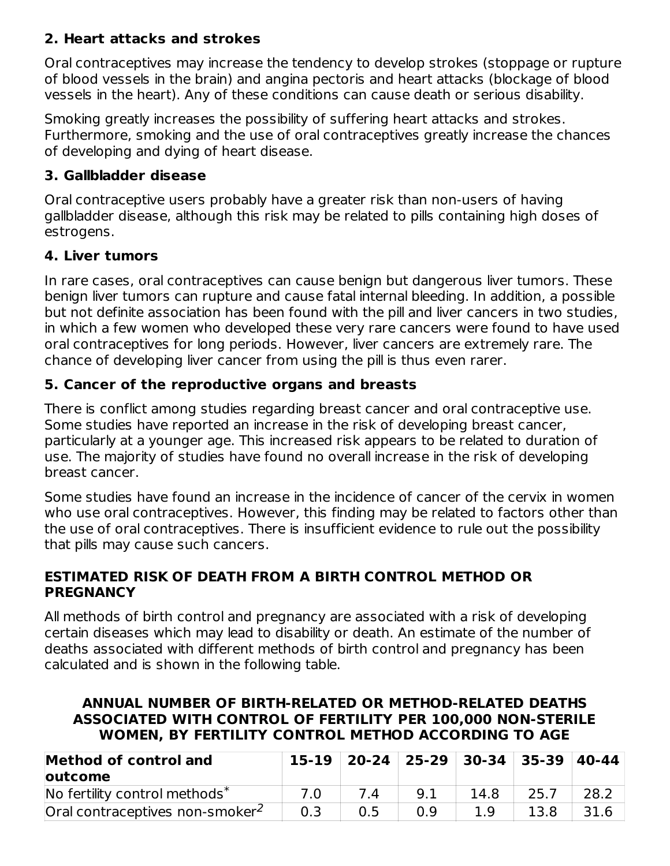## **2. Heart attacks and strokes**

Oral contraceptives may increase the tendency to develop strokes (stoppage or rupture of blood vessels in the brain) and angina pectoris and heart attacks (blockage of blood vessels in the heart). Any of these conditions can cause death or serious disability.

Smoking greatly increases the possibility of suffering heart attacks and strokes. Furthermore, smoking and the use of oral contraceptives greatly increase the chances of developing and dying of heart disease.

#### **3. Gallbladder disease**

Oral contraceptive users probably have a greater risk than non-users of having gallbladder disease, although this risk may be related to pills containing high doses of estrogens.

### **4. Liver tumors**

In rare cases, oral contraceptives can cause benign but dangerous liver tumors. These benign liver tumors can rupture and cause fatal internal bleeding. In addition, a possible but not definite association has been found with the pill and liver cancers in two studies, in which a few women who developed these very rare cancers were found to have used oral contraceptives for long periods. However, liver cancers are extremely rare. The chance of developing liver cancer from using the pill is thus even rarer.

### **5. Cancer of the reproductive organs and breasts**

There is conflict among studies regarding breast cancer and oral contraceptive use. Some studies have reported an increase in the risk of developing breast cancer, particularly at a younger age. This increased risk appears to be related to duration of use. The majority of studies have found no overall increase in the risk of developing breast cancer.

Some studies have found an increase in the incidence of cancer of the cervix in women who use oral contraceptives. However, this finding may be related to factors other than the use of oral contraceptives. There is insufficient evidence to rule out the possibility that pills may cause such cancers.

#### **ESTIMATED RISK OF DEATH FROM A BIRTH CONTROL METHOD OR PREGNANCY**

All methods of birth control and pregnancy are associated with a risk of developing certain diseases which may lead to disability or death. An estimate of the number of deaths associated with different methods of birth control and pregnancy has been calculated and is shown in the following table.

#### **ANNUAL NUMBER OF BIRTH-RELATED OR METHOD-RELATED DEATHS ASSOCIATED WITH CONTROL OF FERTILITY PER 100,000 NON-STERILE WOMEN, BY FERTILITY CONTROL METHOD ACCORDING TO AGE**

| Method of control and<br><b>outcome</b>     | 15-19 | │ 20-24 │ 25-29 │ 30-34 │ 35-39 │40-44 │ |      |      |      |
|---------------------------------------------|-------|------------------------------------------|------|------|------|
| No fertility control methods <sup>*</sup>   |       | 9.1                                      | 14.8 | 25.7 | 28.2 |
| Oral contraceptives non-smoker <sup>2</sup> | 0.3   | n q                                      |      | 13.8 |      |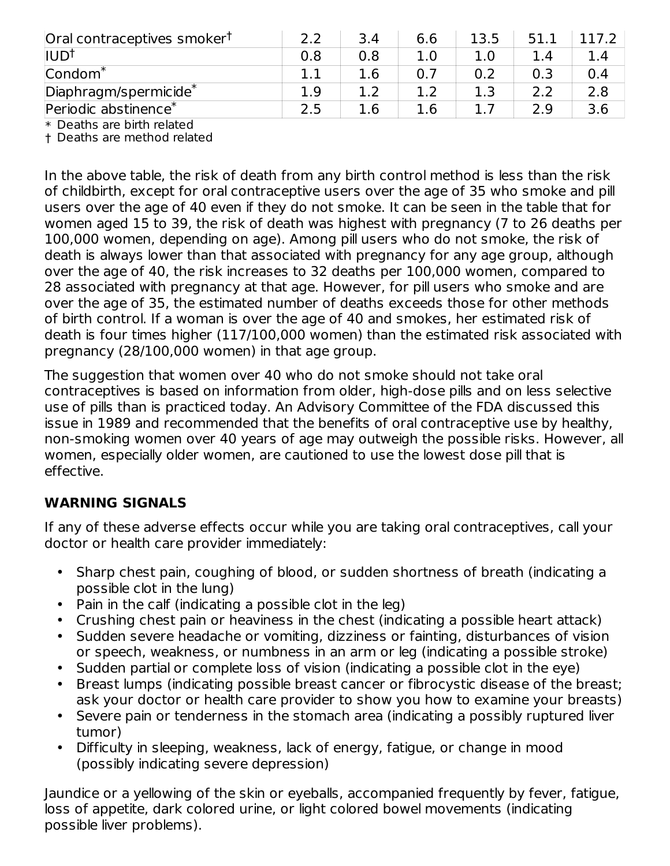| Oral contraceptives smoker <sup>†</sup>                                                                                                                                                                                                    |     | 3.4 | 6.6     | 13.5 | 51.1 |     |
|--------------------------------------------------------------------------------------------------------------------------------------------------------------------------------------------------------------------------------------------|-----|-----|---------|------|------|-----|
| <b>IUD<sup>†</sup></b>                                                                                                                                                                                                                     | 0.8 | 0.8 | $1.0\,$ |      | 1.4  |     |
| $\mathsf{Condom}^*$                                                                                                                                                                                                                        |     | 1.6 | 0.7     | 0.2  | 0.3  |     |
| Diaphragm/spermicide*                                                                                                                                                                                                                      | 1 Q |     |         |      | つつ   | 2.8 |
| Periodic abstinence <sup>*</sup>                                                                                                                                                                                                           | 2.5 | 1.6 | 1.6     |      | 2.9  |     |
| <b><i>Common Contractor Common Library Library Library Library Library Library Library Library Library Library Library Library Library Library Library Library Library Library Library Library Library Library Library Library Lib</i></b> |     |     |         |      |      |     |

\* Deaths are birth related † Deaths are method related

In the above table, the risk of death from any birth control method is less than the risk of childbirth, except for oral contraceptive users over the age of 35 who smoke and pill users over the age of 40 even if they do not smoke. It can be seen in the table that for women aged 15 to 39, the risk of death was highest with pregnancy (7 to 26 deaths per 100,000 women, depending on age). Among pill users who do not smoke, the risk of death is always lower than that associated with pregnancy for any age group, although over the age of 40, the risk increases to 32 deaths per 100,000 women, compared to 28 associated with pregnancy at that age. However, for pill users who smoke and are over the age of 35, the estimated number of deaths exceeds those for other methods of birth control. If a woman is over the age of 40 and smokes, her estimated risk of death is four times higher (117/100,000 women) than the estimated risk associated with pregnancy (28/100,000 women) in that age group.

The suggestion that women over 40 who do not smoke should not take oral contraceptives is based on information from older, high-dose pills and on less selective use of pills than is practiced today. An Advisory Committee of the FDA discussed this issue in 1989 and recommended that the benefits of oral contraceptive use by healthy, non-smoking women over 40 years of age may outweigh the possible risks. However, all women, especially older women, are cautioned to use the lowest dose pill that is effective.

## **WARNING SIGNALS**

If any of these adverse effects occur while you are taking oral contraceptives, call your doctor or health care provider immediately:

- Sharp chest pain, coughing of blood, or sudden shortness of breath (indicating a possible clot in the lung)
- Pain in the calf (indicating a possible clot in the leg)
- Crushing chest pain or heaviness in the chest (indicating a possible heart attack)
- Sudden severe headache or vomiting, dizziness or fainting, disturbances of vision or speech, weakness, or numbness in an arm or leg (indicating a possible stroke)
- Sudden partial or complete loss of vision (indicating a possible clot in the eye)
- Breast lumps (indicating possible breast cancer or fibrocystic disease of the breast; ask your doctor or health care provider to show you how to examine your breasts)
- Severe pain or tenderness in the stomach area (indicating a possibly ruptured liver tumor)
- Difficulty in sleeping, weakness, lack of energy, fatigue, or change in mood (possibly indicating severe depression)

Jaundice or a yellowing of the skin or eyeballs, accompanied frequently by fever, fatigue, loss of appetite, dark colored urine, or light colored bowel movements (indicating possible liver problems).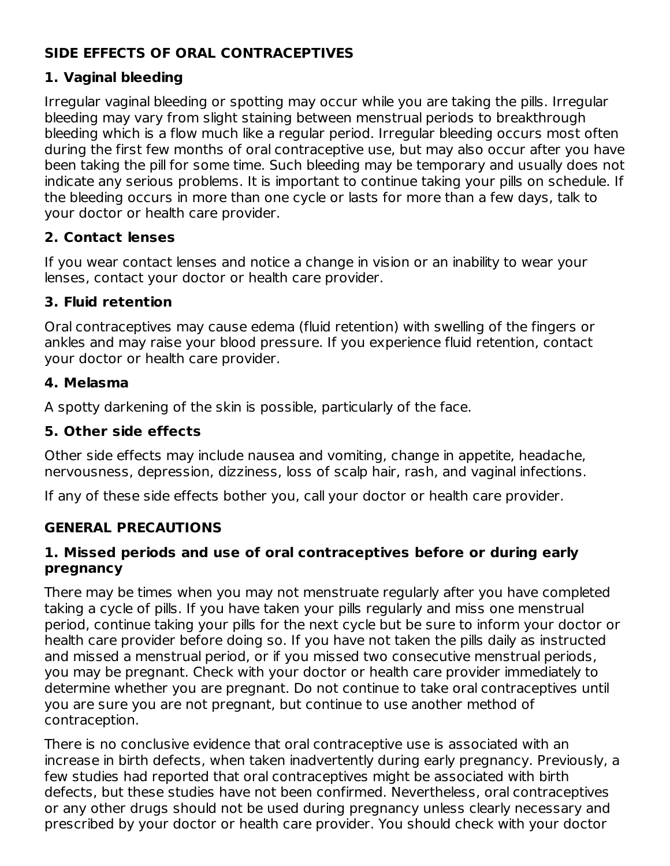## **SIDE EFFECTS OF ORAL CONTRACEPTIVES**

## **1. Vaginal bleeding**

Irregular vaginal bleeding or spotting may occur while you are taking the pills. Irregular bleeding may vary from slight staining between menstrual periods to breakthrough bleeding which is a flow much like a regular period. Irregular bleeding occurs most often during the first few months of oral contraceptive use, but may also occur after you have been taking the pill for some time. Such bleeding may be temporary and usually does not indicate any serious problems. It is important to continue taking your pills on schedule. If the bleeding occurs in more than one cycle or lasts for more than a few days, talk to your doctor or health care provider.

## **2. Contact lenses**

If you wear contact lenses and notice a change in vision or an inability to wear your lenses, contact your doctor or health care provider.

## **3. Fluid retention**

Oral contraceptives may cause edema (fluid retention) with swelling of the fingers or ankles and may raise your blood pressure. If you experience fluid retention, contact your doctor or health care provider.

## **4. Melasma**

A spotty darkening of the skin is possible, particularly of the face.

## **5. Other side effects**

Other side effects may include nausea and vomiting, change in appetite, headache, nervousness, depression, dizziness, loss of scalp hair, rash, and vaginal infections.

If any of these side effects bother you, call your doctor or health care provider.

## **GENERAL PRECAUTIONS**

### **1. Missed periods and use of oral contraceptives before or during early pregnancy**

There may be times when you may not menstruate regularly after you have completed taking a cycle of pills. If you have taken your pills regularly and miss one menstrual period, continue taking your pills for the next cycle but be sure to inform your doctor or health care provider before doing so. If you have not taken the pills daily as instructed and missed a menstrual period, or if you missed two consecutive menstrual periods, you may be pregnant. Check with your doctor or health care provider immediately to determine whether you are pregnant. Do not continue to take oral contraceptives until you are sure you are not pregnant, but continue to use another method of contraception.

There is no conclusive evidence that oral contraceptive use is associated with an increase in birth defects, when taken inadvertently during early pregnancy. Previously, a few studies had reported that oral contraceptives might be associated with birth defects, but these studies have not been confirmed. Nevertheless, oral contraceptives or any other drugs should not be used during pregnancy unless clearly necessary and prescribed by your doctor or health care provider. You should check with your doctor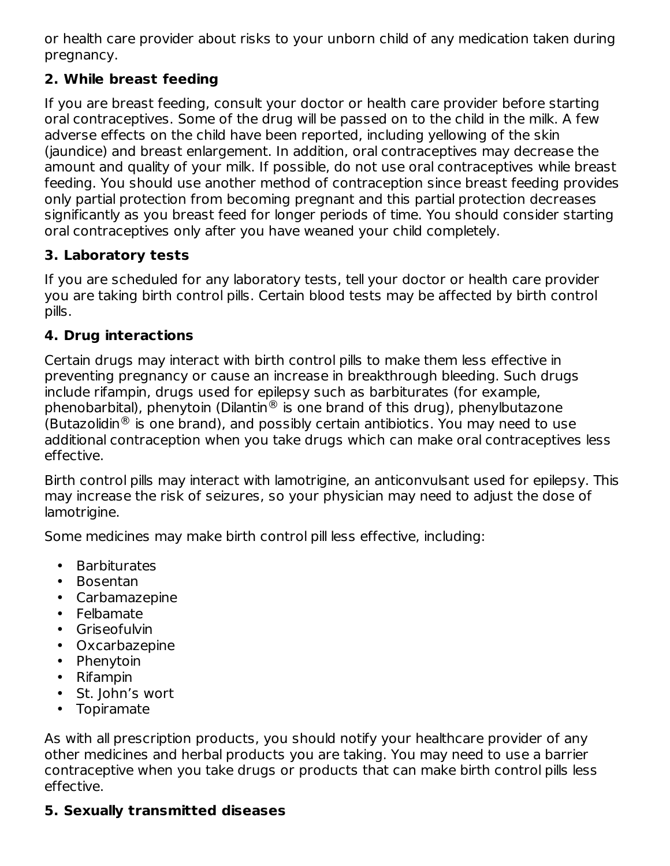or health care provider about risks to your unborn child of any medication taken during pregnancy.

## **2. While breast feeding**

If you are breast feeding, consult your doctor or health care provider before starting oral contraceptives. Some of the drug will be passed on to the child in the milk. A few adverse effects on the child have been reported, including yellowing of the skin (jaundice) and breast enlargement. In addition, oral contraceptives may decrease the amount and quality of your milk. If possible, do not use oral contraceptives while breast feeding. You should use another method of contraception since breast feeding provides only partial protection from becoming pregnant and this partial protection decreases significantly as you breast feed for longer periods of time. You should consider starting oral contraceptives only after you have weaned your child completely.

## **3. Laboratory tests**

If you are scheduled for any laboratory tests, tell your doctor or health care provider you are taking birth control pills. Certain blood tests may be affected by birth control pills.

## **4. Drug interactions**

Certain drugs may interact with birth control pills to make them less effective in preventing pregnancy or cause an increase in breakthrough bleeding. Such drugs include rifampin, drugs used for epilepsy such as barbiturates (for example, phenobarbital), phenytoin (Dilantin $^{\circledR}$  is one brand of this drug), phenylbutazone (Butazolidin $^{\circledR}$  is one brand), and possibly certain antibiotics. You may need to use additional contraception when you take drugs which can make oral contraceptives less effective.

Birth control pills may interact with lamotrigine, an anticonvulsant used for epilepsy. This may increase the risk of seizures, so your physician may need to adjust the dose of lamotrigine.

Some medicines may make birth control pill less effective, including:

- Barbiturates
- Bosentan
- Carbamazepine
- Felbamate
- Griseofulvin
- Oxcarbazepine
- Phenytoin
- Rifampin
- St. John's wort
- Topiramate

As with all prescription products, you should notify your healthcare provider of any other medicines and herbal products you are taking. You may need to use a barrier contraceptive when you take drugs or products that can make birth control pills less effective.

## **5. Sexually transmitted diseases**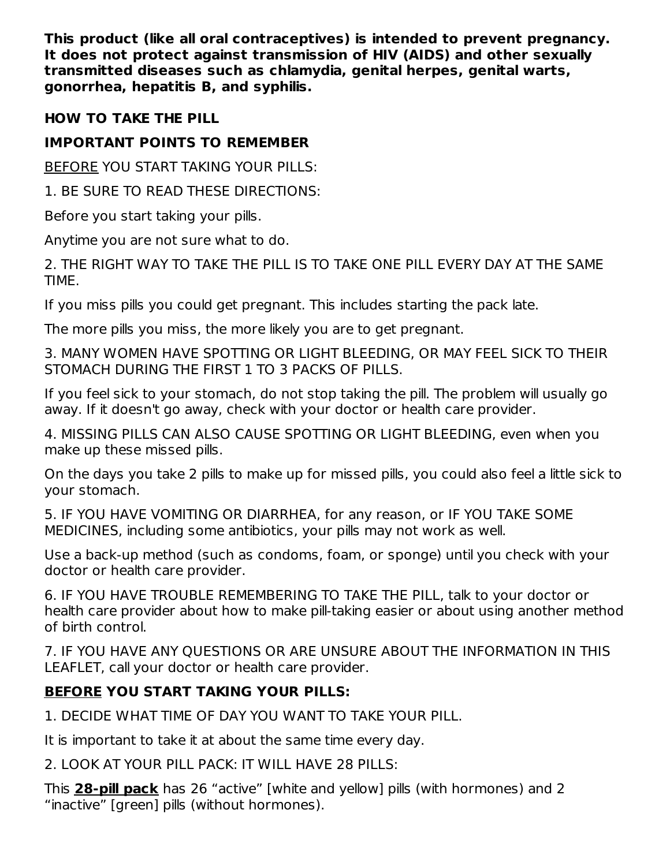**This product (like all oral contraceptives) is intended to prevent pregnancy. It does not protect against transmission of HIV (AIDS) and other sexually transmitted diseases such as chlamydia, genital herpes, genital warts, gonorrhea, hepatitis B, and syphilis.**

## **HOW TO TAKE THE PILL**

## **IMPORTANT POINTS TO REMEMBER**

BEFORE YOU START TAKING YOUR PILLS:

1. BE SURE TO READ THESE DIRECTIONS:

Before you start taking your pills.

Anytime you are not sure what to do.

2. THE RIGHT WAY TO TAKE THE PILL IS TO TAKE ONE PILL EVERY DAY AT THE SAME TIME.

If you miss pills you could get pregnant. This includes starting the pack late.

The more pills you miss, the more likely you are to get pregnant.

3. MANY WOMEN HAVE SPOTTING OR LIGHT BLEEDING, OR MAY FEEL SICK TO THEIR STOMACH DURING THE FIRST 1 TO 3 PACKS OF PILLS.

If you feel sick to your stomach, do not stop taking the pill. The problem will usually go away. If it doesn't go away, check with your doctor or health care provider.

4. MISSING PILLS CAN ALSO CAUSE SPOTTING OR LIGHT BLEEDING, even when you make up these missed pills.

On the days you take 2 pills to make up for missed pills, you could also feel a little sick to your stomach.

5. IF YOU HAVE VOMITING OR DIARRHEA, for any reason, or IF YOU TAKE SOME MEDICINES, including some antibiotics, your pills may not work as well.

Use a back-up method (such as condoms, foam, or sponge) until you check with your doctor or health care provider.

6. IF YOU HAVE TROUBLE REMEMBERING TO TAKE THE PILL, talk to your doctor or health care provider about how to make pill-taking easier or about using another method of birth control.

7. IF YOU HAVE ANY QUESTIONS OR ARE UNSURE ABOUT THE INFORMATION IN THIS LEAFLET, call your doctor or health care provider.

## **BEFORE YOU START TAKING YOUR PILLS:**

1. DECIDE WHAT TIME OF DAY YOU WANT TO TAKE YOUR PILL.

It is important to take it at about the same time every day.

2. LOOK AT YOUR PILL PACK: IT WILL HAVE 28 PILLS:

This **28-pill pack** has 26 "active" [white and yellow] pills (with hormones) and 2 "inactive" [green] pills (without hormones).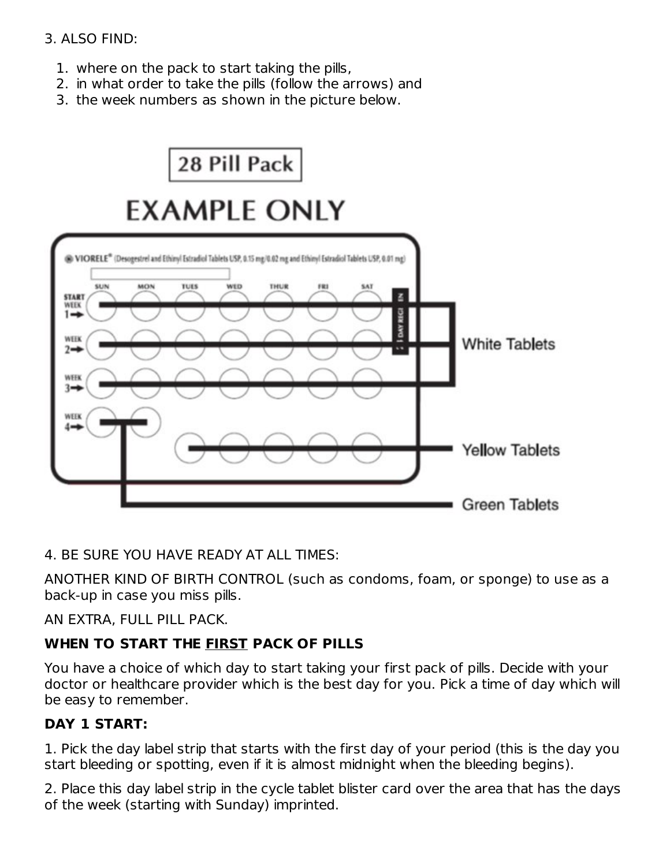### 3. ALSO FIND:

- 1. where on the pack to start taking the pills,
- 2. in what order to take the pills (follow the arrows) and
- 3. the week numbers as shown in the picture below.



#### 4. BE SURE YOU HAVE READY AT ALL TIMES:

ANOTHER KIND OF BIRTH CONTROL (such as condoms, foam, or sponge) to use as a back-up in case you miss pills.

AN EXTRA, FULL PILL PACK.

## **WHEN TO START THE FIRST PACK OF PILLS**

You have a choice of which day to start taking your first pack of pills. Decide with your doctor or healthcare provider which is the best day for you. Pick a time of day which will be easy to remember.

## **DAY 1 START:**

1. Pick the day label strip that starts with the first day of your period (this is the day you start bleeding or spotting, even if it is almost midnight when the bleeding begins).

2. Place this day label strip in the cycle tablet blister card over the area that has the days of the week (starting with Sunday) imprinted.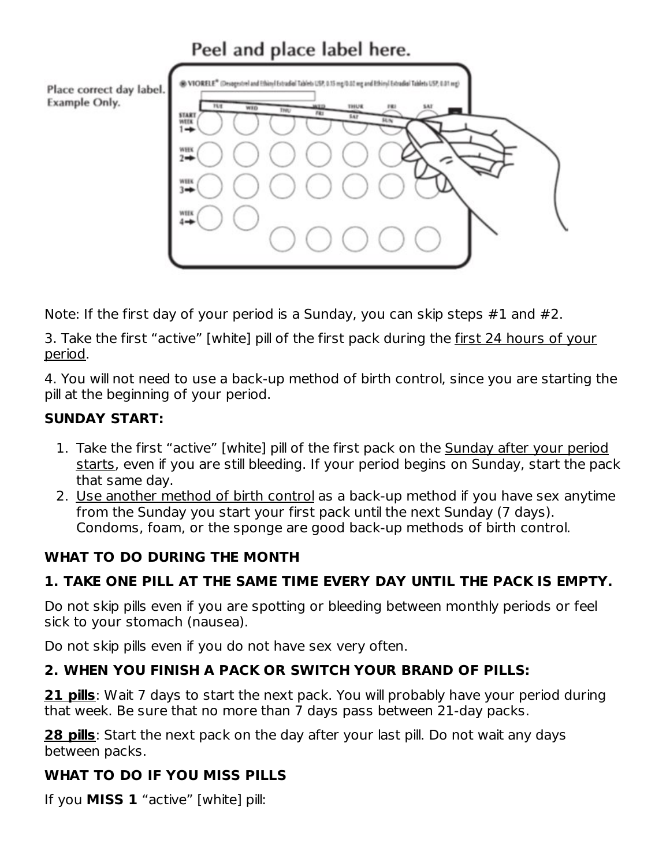# Peel and place label here.

Place correct day label. Example Only. START<br>WEEK  $1$ www



Note: If the first day of your period is a Sunday, you can skip steps #1 and #2.

3. Take the first "active" [white] pill of the first pack during the first 24 hours of your period.

4. You will not need to use a back-up method of birth control, since you are starting the pill at the beginning of your period.

## **SUNDAY START:**

- 1. Take the first "active" [white] pill of the first pack on the Sunday after your period starts, even if you are still bleeding. If your period begins on Sunday, start the pack that same day.
- 2. Use another method of birth control as a back-up method if you have sex anytime from the Sunday you start your first pack until the next Sunday (7 days). Condoms, foam, or the sponge are good back-up methods of birth control.

## **WHAT TO DO DURING THE MONTH**

## **1. TAKE ONE PILL AT THE SAME TIME EVERY DAY UNTIL THE PACK IS EMPTY.**

Do not skip pills even if you are spotting or bleeding between monthly periods or feel sick to your stomach (nausea).

Do not skip pills even if you do not have sex very often.

## **2. WHEN YOU FINISH A PACK OR SWITCH YOUR BRAND OF PILLS:**

**21 pills**: Wait 7 days to start the next pack. You will probably have your period during that week. Be sure that no more than 7 days pass between 21-day packs.

**28 pills**: Start the next pack on the day after your last pill. Do not wait any days between packs.

## **WHAT TO DO IF YOU MISS PILLS**

If you **MISS 1** "active" [white] pill: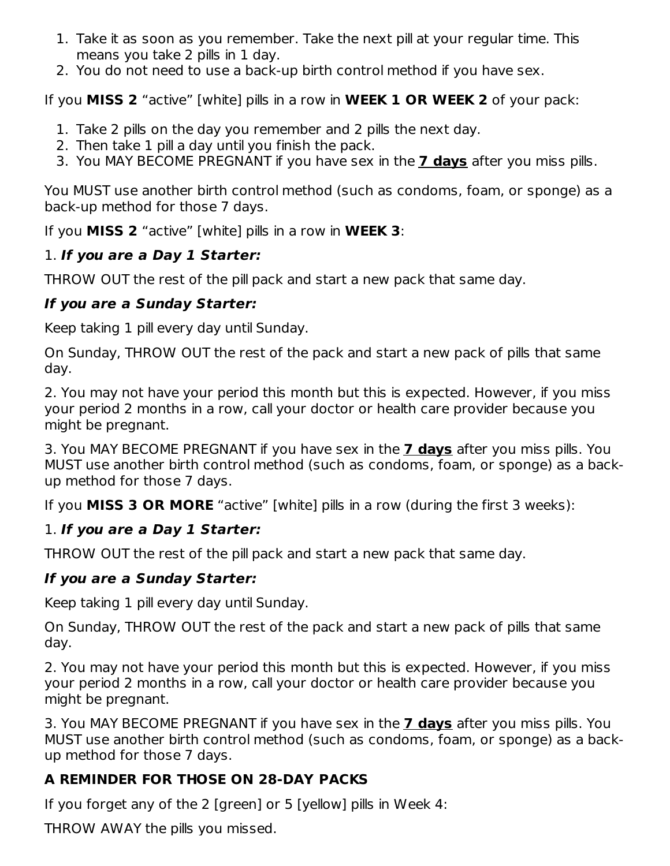- 1. Take it as soon as you remember. Take the next pill at your regular time. This means you take 2 pills in 1 day.
- 2. You do not need to use a back-up birth control method if you have sex.

If you **MISS 2** "active" [white] pills in a row in **WEEK 1 OR WEEK 2** of your pack:

- 1. Take 2 pills on the day you remember and 2 pills the next day.
- 2. Then take 1 pill a day until you finish the pack.
- 3. You MAY BECOME PREGNANT if you have sex in the **7 days** after you miss pills.

You MUST use another birth control method (such as condoms, foam, or sponge) as a back-up method for those 7 days.

If you **MISS 2** "active" [white] pills in a row in **WEEK 3**:

## 1. **If you are a Day 1 Starter:**

THROW OUT the rest of the pill pack and start a new pack that same day.

## **If you are a Sunday Starter:**

Keep taking 1 pill every day until Sunday.

On Sunday, THROW OUT the rest of the pack and start a new pack of pills that same day.

2. You may not have your period this month but this is expected. However, if you miss your period 2 months in a row, call your doctor or health care provider because you might be pregnant.

3. You MAY BECOME PREGNANT if you have sex in the **7 days** after you miss pills. You MUST use another birth control method (such as condoms, foam, or sponge) as a backup method for those 7 days.

If you **MISS 3 OR MORE** "active" [white] pills in a row (during the first 3 weeks):

## 1. **If you are a Day 1 Starter:**

THROW OUT the rest of the pill pack and start a new pack that same day.

## **If you are a Sunday Starter:**

Keep taking 1 pill every day until Sunday.

On Sunday, THROW OUT the rest of the pack and start a new pack of pills that same day.

2. You may not have your period this month but this is expected. However, if you miss your period 2 months in a row, call your doctor or health care provider because you might be pregnant.

3. You MAY BECOME PREGNANT if you have sex in the **7 days** after you miss pills. You MUST use another birth control method (such as condoms, foam, or sponge) as a backup method for those 7 days.

## **A REMINDER FOR THOSE ON 28-DAY PACKS**

If you forget any of the 2 [green] or 5 [yellow] pills in Week 4:

THROW AWAY the pills you missed.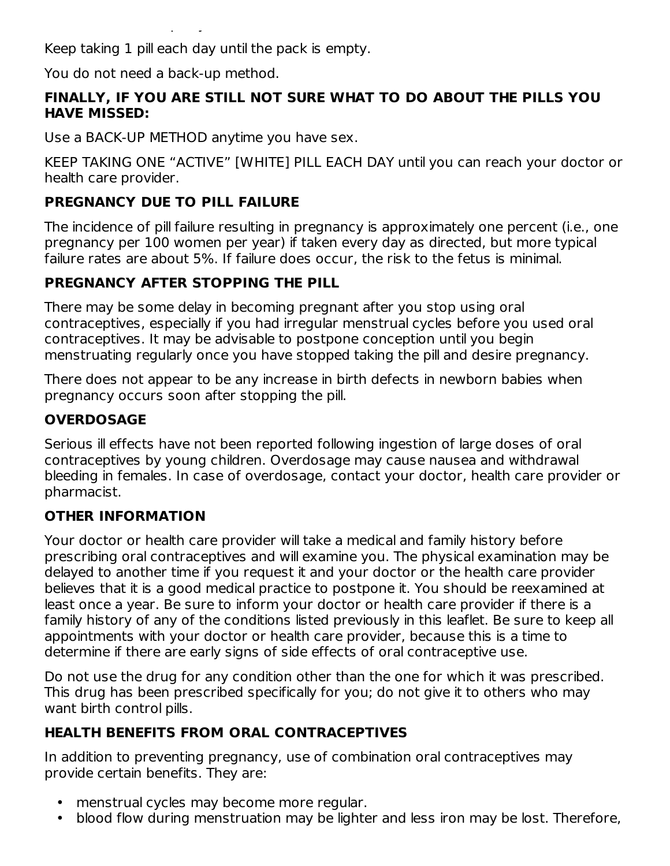Keep taking 1 pill each day until the pack is empty.

You do not need a back-up method.

THROW AWAY the pills you missed.

## **FINALLY, IF YOU ARE STILL NOT SURE WHAT TO DO ABOUT THE PILLS YOU HAVE MISSED:**

Use a BACK-UP METHOD anytime you have sex.

KEEP TAKING ONE "ACTIVE" [WHITE] PILL EACH DAY until you can reach your doctor or health care provider.

## **PREGNANCY DUE TO PILL FAILURE**

The incidence of pill failure resulting in pregnancy is approximately one percent (i.e., one pregnancy per 100 women per year) if taken every day as directed, but more typical failure rates are about 5%. If failure does occur, the risk to the fetus is minimal.

## **PREGNANCY AFTER STOPPING THE PILL**

There may be some delay in becoming pregnant after you stop using oral contraceptives, especially if you had irregular menstrual cycles before you used oral contraceptives. It may be advisable to postpone conception until you begin menstruating regularly once you have stopped taking the pill and desire pregnancy.

There does not appear to be any increase in birth defects in newborn babies when pregnancy occurs soon after stopping the pill.

## **OVERDOSAGE**

Serious ill effects have not been reported following ingestion of large doses of oral contraceptives by young children. Overdosage may cause nausea and withdrawal bleeding in females. In case of overdosage, contact your doctor, health care provider or pharmacist.

## **OTHER INFORMATION**

Your doctor or health care provider will take a medical and family history before prescribing oral contraceptives and will examine you. The physical examination may be delayed to another time if you request it and your doctor or the health care provider believes that it is a good medical practice to postpone it. You should be reexamined at least once a year. Be sure to inform your doctor or health care provider if there is a family history of any of the conditions listed previously in this leaflet. Be sure to keep all appointments with your doctor or health care provider, because this is a time to determine if there are early signs of side effects of oral contraceptive use.

Do not use the drug for any condition other than the one for which it was prescribed. This drug has been prescribed specifically for you; do not give it to others who may want birth control pills.

## **HEALTH BENEFITS FROM ORAL CONTRACEPTIVES**

In addition to preventing pregnancy, use of combination oral contraceptives may provide certain benefits. They are:

- menstrual cycles may become more regular.
- blood flow during menstruation may be lighter and less iron may be lost. Therefore,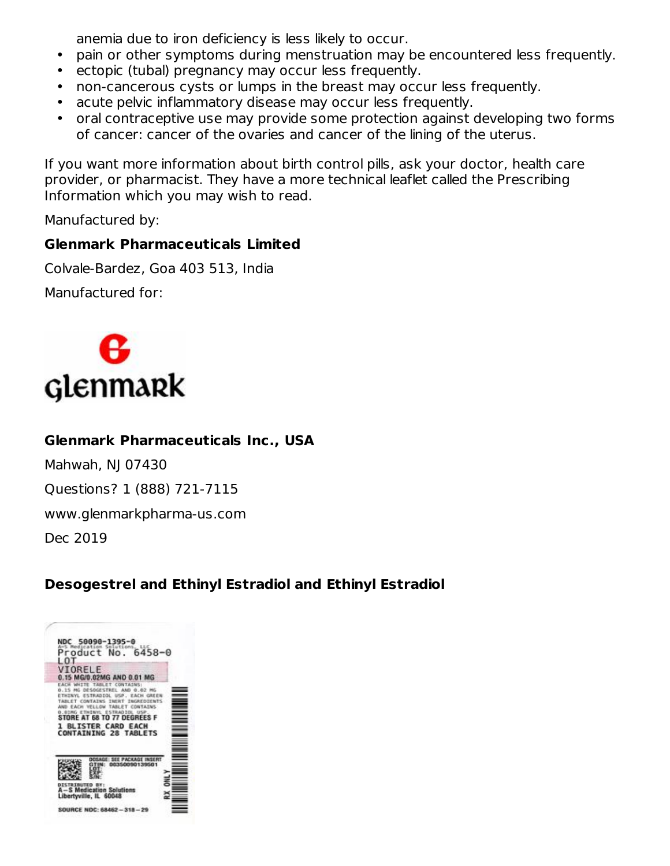anemia due to iron deficiency is less likely to occur.

- pain or other symptoms during menstruation may be encountered less frequently.
- ectopic (tubal) pregnancy may occur less frequently.
- non-cancerous cysts or lumps in the breast may occur less frequently.
- acute pelvic inflammatory disease may occur less frequently.
- oral contraceptive use may provide some protection against developing two forms of cancer: cancer of the ovaries and cancer of the lining of the uterus.

If you want more information about birth control pills, ask your doctor, health care provider, or pharmacist. They have a more technical leaflet called the Prescribing Information which you may wish to read.

Manufactured by:

## **Glenmark Pharmaceuticals Limited**

Colvale-Bardez, Goa 403 513, India

Manufactured for:



## **Glenmark Pharmaceuticals Inc., USA**

Mahwah, NJ 07430 Questions? 1 (888) 721-7115 www.glenmarkpharma-us.com Dec 2019

## **Desogestrel and Ethinyl Estradiol and Ethinyl Estradiol**

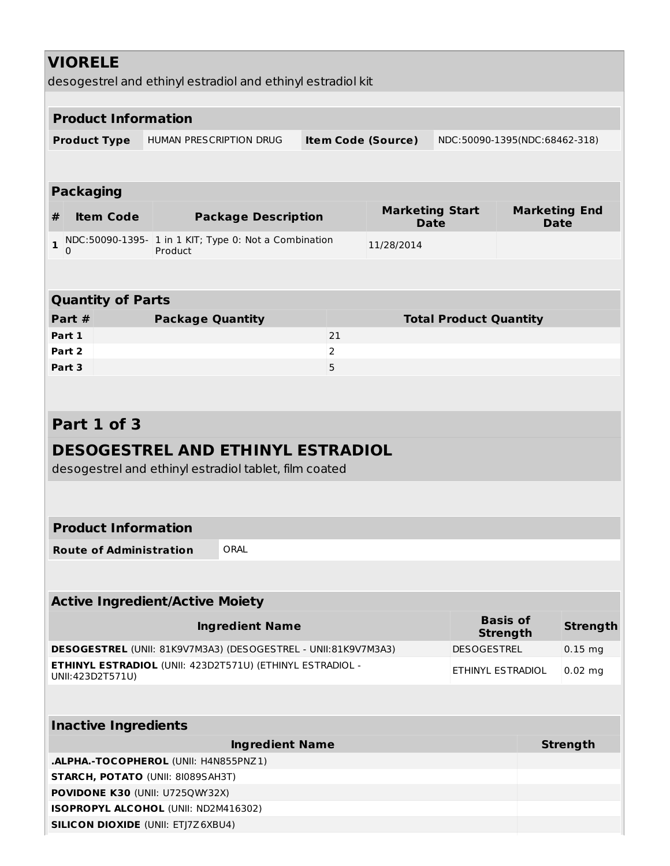# **VIORELE**

desogestrel and ethinyl estradiol and ethinyl estradiol kit

|                                                                                                           | desogestiel and ethinyi estradiol and ethinyi estradiol kit                           |    |            |                                    |             |                      |  |  |
|-----------------------------------------------------------------------------------------------------------|---------------------------------------------------------------------------------------|----|------------|------------------------------------|-------------|----------------------|--|--|
|                                                                                                           |                                                                                       |    |            |                                    |             |                      |  |  |
|                                                                                                           | <b>Product Information</b>                                                            |    |            |                                    |             |                      |  |  |
| <b>Product Type</b>                                                                                       | HUMAN PRESCRIPTION DRUG<br><b>Item Code (Source)</b><br>NDC:50090-1395(NDC:68462-318) |    |            |                                    |             |                      |  |  |
|                                                                                                           |                                                                                       |    |            |                                    |             |                      |  |  |
| <b>Packaging</b>                                                                                          |                                                                                       |    |            |                                    |             |                      |  |  |
| <b>Item Code</b><br>#                                                                                     | <b>Marketing Start</b><br><b>Package Description</b><br><b>Date</b>                   |    |            |                                    | <b>Date</b> | <b>Marketing End</b> |  |  |
| $\mathbf{1}$<br>0                                                                                         | NDC:50090-1395- 1 in 1 KIT; Type 0: Not a Combination<br>Product                      |    | 11/28/2014 |                                    |             |                      |  |  |
|                                                                                                           |                                                                                       |    |            |                                    |             |                      |  |  |
| <b>Quantity of Parts</b>                                                                                  |                                                                                       |    |            |                                    |             |                      |  |  |
| Part #                                                                                                    | <b>Package Quantity</b>                                                               |    |            | <b>Total Product Quantity</b>      |             |                      |  |  |
| Part 1                                                                                                    |                                                                                       | 21 |            |                                    |             |                      |  |  |
| Part 2                                                                                                    |                                                                                       | 2  |            |                                    |             |                      |  |  |
| Part 3                                                                                                    |                                                                                       | 5  |            |                                    |             |                      |  |  |
|                                                                                                           |                                                                                       |    |            |                                    |             |                      |  |  |
| Part 1 of 3                                                                                               |                                                                                       |    |            |                                    |             |                      |  |  |
|                                                                                                           | <b>DESOGESTREL AND ETHINYL ESTRADIOL</b>                                              |    |            |                                    |             |                      |  |  |
|                                                                                                           | desogestrel and ethinyl estradiol tablet, film coated                                 |    |            |                                    |             |                      |  |  |
|                                                                                                           |                                                                                       |    |            |                                    |             |                      |  |  |
| <b>Product Information</b>                                                                                |                                                                                       |    |            |                                    |             |                      |  |  |
| <b>Route of Administration</b>                                                                            | ORAL                                                                                  |    |            |                                    |             |                      |  |  |
|                                                                                                           |                                                                                       |    |            |                                    |             |                      |  |  |
|                                                                                                           | <b>Active Ingredient/Active Moiety</b>                                                |    |            |                                    |             |                      |  |  |
|                                                                                                           | <b>Ingredient Name</b>                                                                |    |            | <b>Basis of</b><br><b>Strength</b> |             | <b>Strength</b>      |  |  |
|                                                                                                           | DESOGESTREL (UNII: 81K9V7M3A3) (DESOGESTREL - UNII:81K9V7M3A3)                        |    |            | <b>DESOGESTREL</b>                 |             | $0.15$ mg            |  |  |
| <b>ETHINYL ESTRADIOL (UNII: 423D2T571U) (ETHINYL ESTRADIOL -</b><br>ETHINYL ESTRADIOL<br>UNII:423D2T571U) |                                                                                       |    |            |                                    | $0.02$ mg   |                      |  |  |
|                                                                                                           |                                                                                       |    |            |                                    |             |                      |  |  |
| <b>Inactive Ingredients</b>                                                                               |                                                                                       |    |            |                                    |             |                      |  |  |
|                                                                                                           | <b>Ingredient Name</b>                                                                |    |            |                                    |             | <b>Strength</b>      |  |  |
|                                                                                                           | .ALPHA.-TOCOPHEROL (UNII: H4N855PNZ1)                                                 |    |            |                                    |             |                      |  |  |
| <b>STARCH, POTATO (UNII: 81089SAH3T)</b>                                                                  |                                                                                       |    |            |                                    |             |                      |  |  |
| POVIDONE K30 (UNII: U725QWY32X)                                                                           |                                                                                       |    |            |                                    |             |                      |  |  |
|                                                                                                           | ISOPROPYL ALCOHOL (UNII: ND2M416302)                                                  |    |            |                                    |             |                      |  |  |
| <b>SILICON DIOXIDE (UNII: ETJ7Z6XBU4)</b>                                                                 |                                                                                       |    |            |                                    |             |                      |  |  |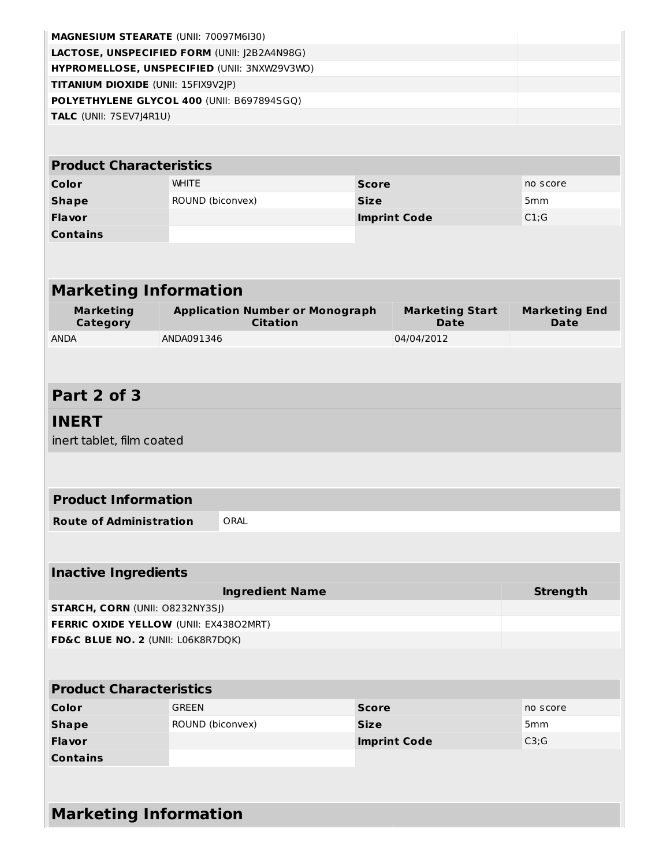|                                        | MAGNESIUM STEARATE (UNII: 70097M6I30)                     |              |                                       |                                     |  |
|----------------------------------------|-----------------------------------------------------------|--------------|---------------------------------------|-------------------------------------|--|
|                                        | LACTOSE, UNSPECIFIED FORM (UNII: J2B2A4N98G)              |              |                                       |                                     |  |
|                                        | HYPROMELLOSE, UNSPECIFIED (UNII: 3NXW29V3WO)              |              |                                       |                                     |  |
| TITANIUM DIOXIDE (UNII: 15FIX9V2JP)    |                                                           |              |                                       |                                     |  |
|                                        | POLYETHYLENE GLYCOL 400 (UNII: B697894SGQ)                |              |                                       |                                     |  |
| TALC (UNII: 7SEV7J4R1U)                |                                                           |              |                                       |                                     |  |
|                                        |                                                           |              |                                       |                                     |  |
| <b>Product Characteristics</b>         |                                                           |              |                                       |                                     |  |
| Color                                  | <b>WHITE</b>                                              | <b>Score</b> |                                       | no score                            |  |
| <b>Shape</b>                           | ROUND (biconvex)                                          | <b>Size</b>  |                                       | 5 <sub>mm</sub>                     |  |
| <b>Flavor</b>                          |                                                           |              | <b>Imprint Code</b>                   | C1;G                                |  |
| <b>Contains</b>                        |                                                           |              |                                       |                                     |  |
|                                        |                                                           |              |                                       |                                     |  |
|                                        |                                                           |              |                                       |                                     |  |
| <b>Marketing Information</b>           |                                                           |              |                                       |                                     |  |
|                                        |                                                           |              |                                       |                                     |  |
| <b>Marketing</b><br>Category           | <b>Application Number or Monograph</b><br><b>Citation</b> |              | <b>Marketing Start</b><br><b>Date</b> | <b>Marketing End</b><br><b>Date</b> |  |
| <b>ANDA</b>                            | ANDA091346                                                |              | 04/04/2012                            |                                     |  |
|                                        |                                                           |              |                                       |                                     |  |
|                                        |                                                           |              |                                       |                                     |  |
| Part 2 of 3                            |                                                           |              |                                       |                                     |  |
| <b>INERT</b>                           |                                                           |              |                                       |                                     |  |
| inert tablet, film coated              |                                                           |              |                                       |                                     |  |
|                                        |                                                           |              |                                       |                                     |  |
|                                        |                                                           |              |                                       |                                     |  |
| <b>Product Information</b>             |                                                           |              |                                       |                                     |  |
| <b>Route of Administration</b>         | ORAL                                                      |              |                                       |                                     |  |
|                                        |                                                           |              |                                       |                                     |  |
|                                        |                                                           |              |                                       |                                     |  |
| <b>Inactive Ingredients</b>            |                                                           |              |                                       |                                     |  |
|                                        | <b>Ingredient Name</b>                                    |              |                                       | <b>Strength</b>                     |  |
| <b>STARCH, CORN (UNII: O8232NY3SJ)</b> |                                                           |              |                                       |                                     |  |
| FERRIC OXIDE YELLOW (UNII: EX43802MRT) |                                                           |              |                                       |                                     |  |
| FD&C BLUE NO. 2 (UNII: L06K8R7DQK)     |                                                           |              |                                       |                                     |  |
|                                        |                                                           |              |                                       |                                     |  |
|                                        |                                                           |              |                                       |                                     |  |
| <b>Product Characteristics</b>         |                                                           |              |                                       |                                     |  |
| Color                                  | <b>GREEN</b><br><b>Score</b>                              |              |                                       | no score                            |  |
| <b>Shape</b>                           | ROUND (biconvex)                                          | <b>Size</b>  |                                       | 5 <sub>mm</sub>                     |  |
| <b>Flavor</b>                          |                                                           |              | <b>Imprint Code</b>                   | C3;G                                |  |
| <b>Contains</b>                        |                                                           |              |                                       |                                     |  |
|                                        |                                                           |              |                                       |                                     |  |
|                                        |                                                           |              |                                       |                                     |  |
| <b>Marketing Information</b>           |                                                           |              |                                       |                                     |  |